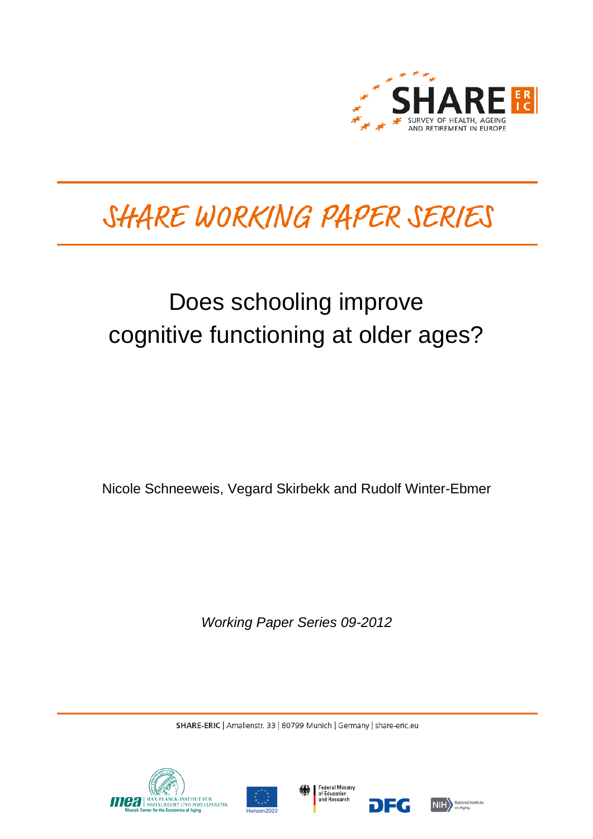

# SHARE WORKING PAPER SERIES

## Does schooling improve cognitive functioning at older ages?

Nicole Schneeweis, Vegard Skirbekk and Rudolf Winter-Ebmer

*Working Paper Series 09-2012*

SHARE-ERIC | Amalienstr. 33 | 80799 Munich | Germany | share-eric.eu







DEG

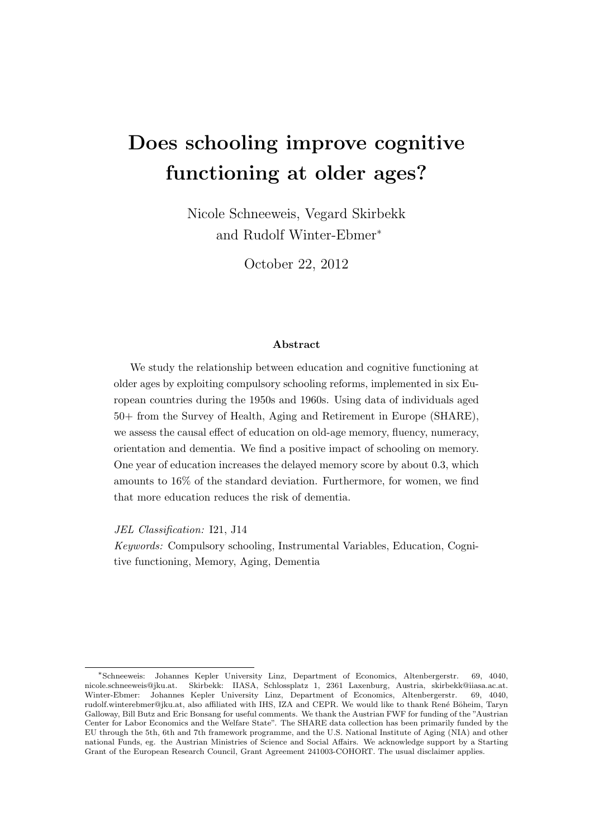## Does schooling improve cognitive functioning at older ages?

Nicole Schneeweis, Vegard Skirbekk and Rudolf Winter-Ebmer<sup>∗</sup>

October 22, 2012

#### Abstract

We study the relationship between education and cognitive functioning at older ages by exploiting compulsory schooling reforms, implemented in six European countries during the 1950s and 1960s. Using data of individuals aged 50+ from the Survey of Health, Aging and Retirement in Europe (SHARE), we assess the causal effect of education on old-age memory, fluency, numeracy, orientation and dementia. We find a positive impact of schooling on memory. One year of education increases the delayed memory score by about 0.3, which amounts to 16% of the standard deviation. Furthermore, for women, we find that more education reduces the risk of dementia.

JEL Classification: I21, J14

Keywords: Compulsory schooling, Instrumental Variables, Education, Cognitive functioning, Memory, Aging, Dementia

<sup>∗</sup> Johannes Kepler University Linz, Department of Economics, Altenbergerstr. 69, 4040, [nicole.schneeweis@jku.at.](mailto:nicole.schneeweis@jku.at) Skirbekk: IIASA, Schlossplatz 1, 2361 Laxenburg, Austria, [skirbekk@iiasa.ac.at.](mailto:skirbekk@iiasa.ac.at) Winter-Ebmer: Johannes Kepler University Linz, Department of Economics, Altenbergerstr. 69, 4040, [rudolf.winterebmer@jku.at,](mailto:rudolf.winterebmer@jku.at) also affiliated with IHS, IZA and CEPR. We would like to thank René Böheim, Taryn Galloway, Bill Butz and Eric Bonsang for useful comments. We thank the Austrian FWF for funding of the "Austrian Center for Labor Economics and the Welfare State". The SHARE data collection has been primarily funded by the EU through the 5th, 6th and 7th framework programme, and the U.S. National Institute of Aging (NIA) and other national Funds, eg. the Austrian Ministries of Science and Social Affairs. We acknowledge support by a Starting Grant of the European Research Council, Grant Agreement 241003-COHORT. The usual disclaimer applies.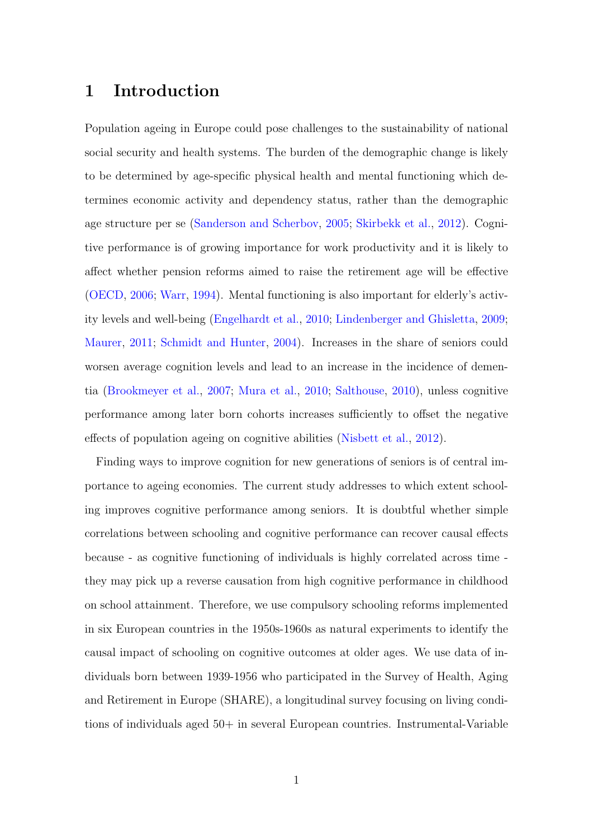#### 1 Introduction

Population ageing in Europe could pose challenges to the sustainability of national social security and health systems. The burden of the demographic change is likely to be determined by age-specific physical health and mental functioning which determines economic activity and dependency status, rather than the demographic age structure per se [\(Sanderson and Scherbov,](#page-31-0) [2005;](#page-31-0) [Skirbekk et al.,](#page-31-1) [2012\)](#page-31-1). Cognitive performance is of growing importance for work productivity and it is likely to affect whether pension reforms aimed to raise the retirement age will be effective [\(OECD,](#page-30-0) [2006;](#page-30-0) [Warr,](#page-32-0) [1994\)](#page-32-0). Mental functioning is also important for elderly's activity levels and well-being [\(Engelhardt et al.,](#page-28-0) [2010;](#page-28-0) [Lindenberger and Ghisletta,](#page-29-0) [2009;](#page-29-0) [Maurer,](#page-30-1) [2011;](#page-30-1) [Schmidt and Hunter,](#page-31-2) [2004\)](#page-31-2). Increases in the share of seniors could worsen average cognition levels and lead to an increase in the incidence of dementia [\(Brookmeyer et al.,](#page-28-1) [2007;](#page-28-1) [Mura et al.,](#page-30-2) [2010;](#page-30-2) [Salthouse,](#page-31-3) [2010\)](#page-31-3), unless cognitive performance among later born cohorts increases sufficiently to offset the negative effects of population ageing on cognitive abilities [\(Nisbett et al.,](#page-30-3) [2012\)](#page-30-3).

Finding ways to improve cognition for new generations of seniors is of central importance to ageing economies. The current study addresses to which extent schooling improves cognitive performance among seniors. It is doubtful whether simple correlations between schooling and cognitive performance can recover causal effects because - as cognitive functioning of individuals is highly correlated across time they may pick up a reverse causation from high cognitive performance in childhood on school attainment. Therefore, we use compulsory schooling reforms implemented in six European countries in the 1950s-1960s as natural experiments to identify the causal impact of schooling on cognitive outcomes at older ages. We use data of individuals born between 1939-1956 who participated in the Survey of Health, Aging and Retirement in Europe (SHARE), a longitudinal survey focusing on living conditions of individuals aged 50+ in several European countries. Instrumental-Variable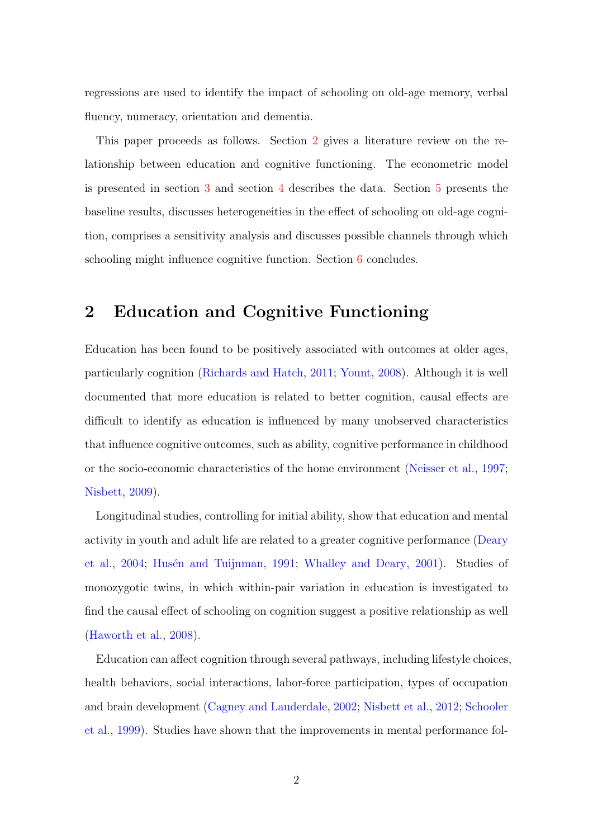regressions are used to identify the impact of schooling on old-age memory, verbal fluency, numeracy, orientation and dementia.

This paper proceeds as follows. Section [2](#page-3-0) gives a literature review on the relationship between education and cognitive functioning. The econometric model is presented in section [3](#page-5-0) and section [4](#page-8-0) describes the data. Section [5](#page-13-0) presents the baseline results, discusses heterogeneities in the effect of schooling on old-age cognition, comprises a sensitivity analysis and discusses possible channels through which schooling might influence cognitive function. Section [6](#page-25-0) concludes.

## <span id="page-3-0"></span>2 Education and Cognitive Functioning

Education has been found to be positively associated with outcomes at older ages, particularly cognition [\(Richards and Hatch,](#page-31-4) [2011;](#page-31-4) [Yount,](#page-32-1) [2008\)](#page-32-1). Although it is well documented that more education is related to better cognition, causal effects are difficult to identify as education is influenced by many unobserved characteristics that influence cognitive outcomes, such as ability, cognitive performance in childhood or the socio-economic characteristics of the home environment [\(Neisser et al.,](#page-30-4) [1997;](#page-30-4) [Nisbett,](#page-30-5) [2009\)](#page-30-5).

Longitudinal studies, controlling for initial ability, show that education and mental activity in youth and adult life are related to a greater cognitive performance [\(Deary](#page-28-2) [et al.,](#page-28-2) [2004;](#page-28-2) Husén and Tuijnman, [1991;](#page-29-1) [Whalley and Deary,](#page-32-2) [2001\)](#page-32-2). Studies of monozygotic twins, in which within-pair variation in education is investigated to find the causal effect of schooling on cognition suggest a positive relationship as well [\(Haworth et al.,](#page-29-2) [2008\)](#page-29-2).

Education can affect cognition through several pathways, including lifestyle choices, health behaviors, social interactions, labor-force participation, types of occupation and brain development [\(Cagney and Lauderdale,](#page-28-3) [2002;](#page-28-3) [Nisbett et al.,](#page-30-3) [2012;](#page-30-3) [Schooler](#page-31-5) [et al.,](#page-31-5) [1999\)](#page-31-5). Studies have shown that the improvements in mental performance fol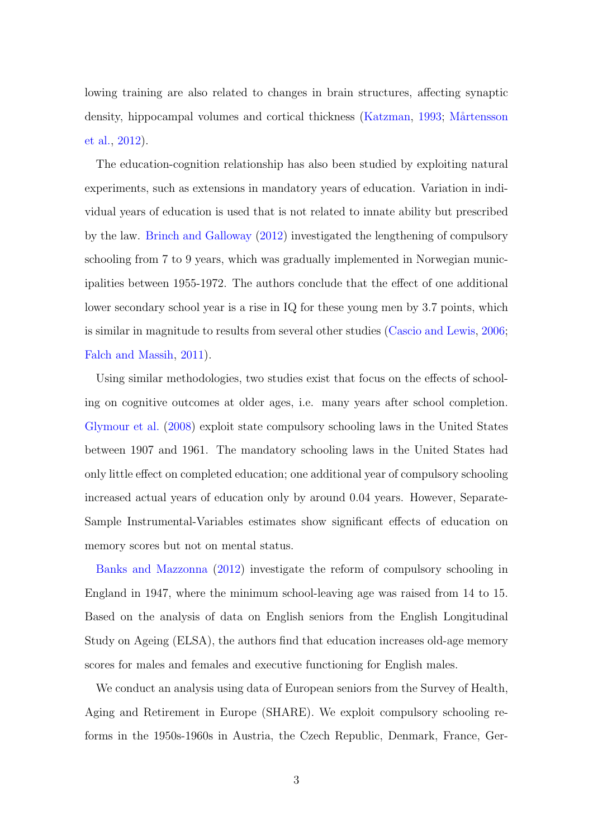lowing training are also related to changes in brain structures, affecting synaptic density, hippocampal volumes and cortical thickness [\(Katzman,](#page-29-3) [1993;](#page-29-3) Mårtensson [et al.,](#page-30-6) [2012\)](#page-30-6).

The education-cognition relationship has also been studied by exploiting natural experiments, such as extensions in mandatory years of education. Variation in individual years of education is used that is not related to innate ability but prescribed by the law. [Brinch and Galloway](#page-27-0) [\(2012\)](#page-27-0) investigated the lengthening of compulsory schooling from 7 to 9 years, which was gradually implemented in Norwegian municipalities between 1955-1972. The authors conclude that the effect of one additional lower secondary school year is a rise in IQ for these young men by 3.7 points, which is similar in magnitude to results from several other studies [\(Cascio and Lewis,](#page-28-4) [2006;](#page-28-4) [Falch and Massih,](#page-28-5) [2011\)](#page-28-5).

Using similar methodologies, two studies exist that focus on the effects of schooling on cognitive outcomes at older ages, i.e. many years after school completion. [Glymour et al.](#page-29-4) [\(2008\)](#page-29-4) exploit state compulsory schooling laws in the United States between 1907 and 1961. The mandatory schooling laws in the United States had only little effect on completed education; one additional year of compulsory schooling increased actual years of education only by around 0.04 years. However, Separate-Sample Instrumental-Variables estimates show significant effects of education on memory scores but not on mental status.

[Banks and Mazzonna](#page-27-1) [\(2012\)](#page-27-1) investigate the reform of compulsory schooling in England in 1947, where the minimum school-leaving age was raised from 14 to 15. Based on the analysis of data on English seniors from the English Longitudinal Study on Ageing (ELSA), the authors find that education increases old-age memory scores for males and females and executive functioning for English males.

We conduct an analysis using data of European seniors from the Survey of Health, Aging and Retirement in Europe (SHARE). We exploit compulsory schooling reforms in the 1950s-1960s in Austria, the Czech Republic, Denmark, France, Ger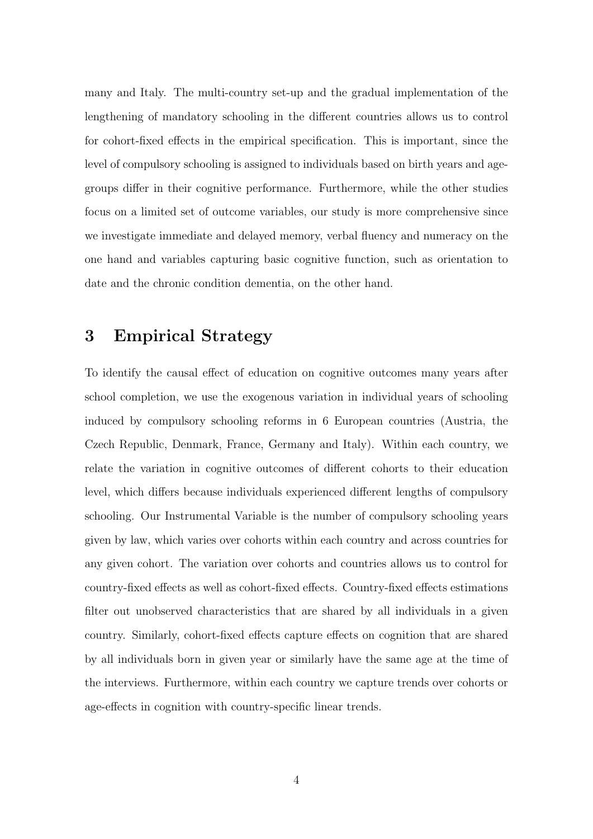many and Italy. The multi-country set-up and the gradual implementation of the lengthening of mandatory schooling in the different countries allows us to control for cohort-fixed effects in the empirical specification. This is important, since the level of compulsory schooling is assigned to individuals based on birth years and agegroups differ in their cognitive performance. Furthermore, while the other studies focus on a limited set of outcome variables, our study is more comprehensive since we investigate immediate and delayed memory, verbal fluency and numeracy on the one hand and variables capturing basic cognitive function, such as orientation to date and the chronic condition dementia, on the other hand.

## <span id="page-5-0"></span>3 Empirical Strategy

To identify the causal effect of education on cognitive outcomes many years after school completion, we use the exogenous variation in individual years of schooling induced by compulsory schooling reforms in 6 European countries (Austria, the Czech Republic, Denmark, France, Germany and Italy). Within each country, we relate the variation in cognitive outcomes of different cohorts to their education level, which differs because individuals experienced different lengths of compulsory schooling. Our Instrumental Variable is the number of compulsory schooling years given by law, which varies over cohorts within each country and across countries for any given cohort. The variation over cohorts and countries allows us to control for country-fixed effects as well as cohort-fixed effects. Country-fixed effects estimations filter out unobserved characteristics that are shared by all individuals in a given country. Similarly, cohort-fixed effects capture effects on cognition that are shared by all individuals born in given year or similarly have the same age at the time of the interviews. Furthermore, within each country we capture trends over cohorts or age-effects in cognition with country-specific linear trends.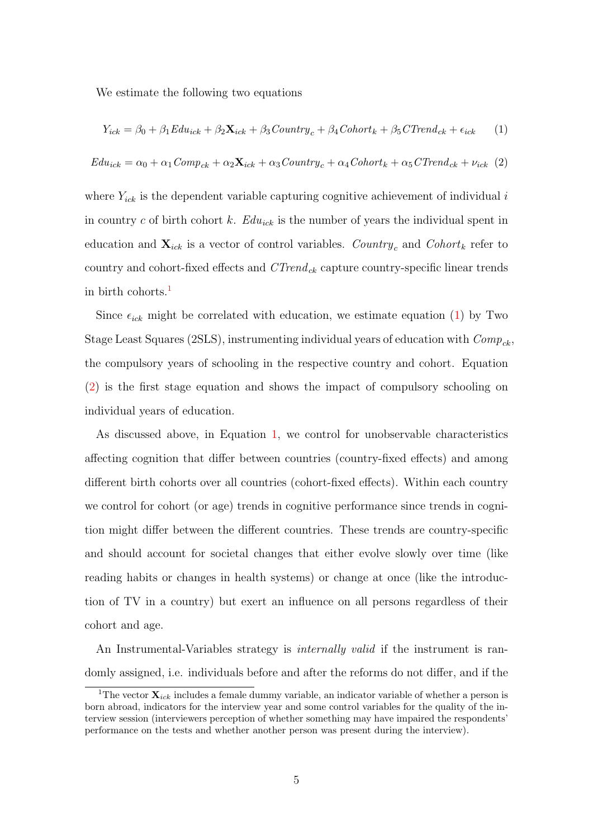We estimate the following two equations

<span id="page-6-1"></span>
$$
Y_{ick} = \beta_0 + \beta_1 Edu_{ick} + \beta_2 \mathbf{X}_{ick} + \beta_3 Country_c + \beta_4 Cohort_k + \beta_5 CTrend_{ck} + \epsilon_{ick} \tag{1}
$$

<span id="page-6-2"></span>
$$
E du_{ick} = \alpha_0 + \alpha_1 Comp_{ck} + \alpha_2 \mathbf{X}_{ick} + \alpha_3 Country_c + \alpha_4 Cohort_k + \alpha_5 CTrend_{ck} + \nu_{ick} (2)
$$

where  $Y_{ick}$  is the dependent variable capturing cognitive achievement of individual i in country c of birth cohort k.  $Edu_{ick}$  is the number of years the individual spent in education and  $\mathbf{X}_{ick}$  is a vector of control variables. Country<sub>c</sub> and Cohort<sub>k</sub> refer to country and cohort-fixed effects and  $CTrend_{ck}$  capture country-specific linear trends in birth cohorts.[1](#page-6-0)

Since  $\epsilon_{ick}$  might be correlated with education, we estimate equation [\(1\)](#page-6-1) by Two Stage Least Squares (2SLS), instrumenting individual years of education with  $Comp_{ck}$ , the compulsory years of schooling in the respective country and cohort. Equation [\(2\)](#page-6-2) is the first stage equation and shows the impact of compulsory schooling on individual years of education.

As discussed above, in Equation [1,](#page-6-1) we control for unobservable characteristics affecting cognition that differ between countries (country-fixed effects) and among different birth cohorts over all countries (cohort-fixed effects). Within each country we control for cohort (or age) trends in cognitive performance since trends in cognition might differ between the different countries. These trends are country-specific and should account for societal changes that either evolve slowly over time (like reading habits or changes in health systems) or change at once (like the introduction of TV in a country) but exert an influence on all persons regardless of their cohort and age.

An Instrumental-Variables strategy is *internally valid* if the instrument is randomly assigned, i.e. individuals before and after the reforms do not differ, and if the

<span id="page-6-0"></span><sup>&</sup>lt;sup>1</sup>The vector  $\mathbf{X}_{ick}$  includes a female dummy variable, an indicator variable of whether a person is born abroad, indicators for the interview year and some control variables for the quality of the interview session (interviewers perception of whether something may have impaired the respondents' performance on the tests and whether another person was present during the interview).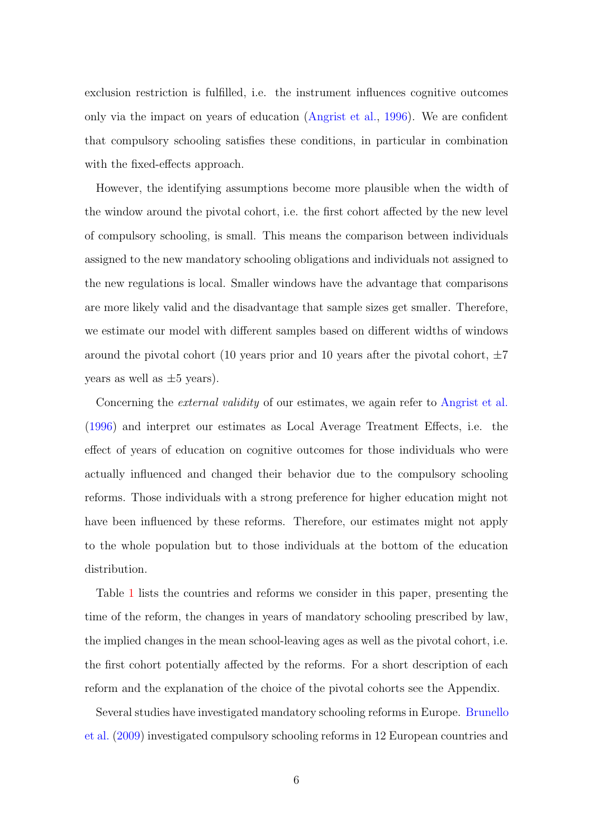exclusion restriction is fulfilled, i.e. the instrument influences cognitive outcomes only via the impact on years of education [\(Angrist et al.,](#page-27-2) [1996\)](#page-27-2). We are confident that compulsory schooling satisfies these conditions, in particular in combination with the fixed-effects approach.

However, the identifying assumptions become more plausible when the width of the window around the pivotal cohort, i.e. the first cohort affected by the new level of compulsory schooling, is small. This means the comparison between individuals assigned to the new mandatory schooling obligations and individuals not assigned to the new regulations is local. Smaller windows have the advantage that comparisons are more likely valid and the disadvantage that sample sizes get smaller. Therefore, we estimate our model with different samples based on different widths of windows around the pivotal cohort (10 years prior and 10 years after the pivotal cohort,  $\pm 7$ years as well as  $\pm 5$  years).

Concerning the *external validity* of our estimates, we again refer to [Angrist et al.](#page-27-2) [\(1996\)](#page-27-2) and interpret our estimates as Local Average Treatment Effects, i.e. the effect of years of education on cognitive outcomes for those individuals who were actually influenced and changed their behavior due to the compulsory schooling reforms. Those individuals with a strong preference for higher education might not have been influenced by these reforms. Therefore, our estimates might not apply to the whole population but to those individuals at the bottom of the education distribution.

Table [1](#page-8-1) lists the countries and reforms we consider in this paper, presenting the time of the reform, the changes in years of mandatory schooling prescribed by law, the implied changes in the mean school-leaving ages as well as the pivotal cohort, i.e. the first cohort potentially affected by the reforms. For a short description of each reform and the explanation of the choice of the pivotal cohorts see the Appendix.

Several studies have investigated mandatory schooling reforms in Europe. [Brunello](#page-28-6) [et al.](#page-28-6) [\(2009\)](#page-28-6) investigated compulsory schooling reforms in 12 European countries and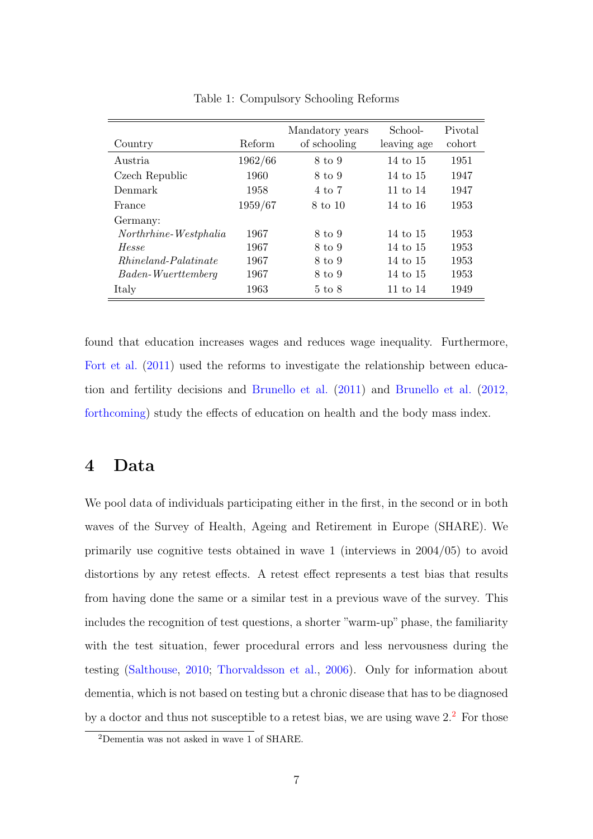| Country                     | Reform  | Mandatory years<br>of schooling | School-<br>leaving age | Pivotal<br>cohort |
|-----------------------------|---------|---------------------------------|------------------------|-------------------|
| Austria                     | 1962/66 | 8 to 9                          | 14 to 15               | 1951              |
| Czech Republic              | 1960    | 8 to 9                          | 14 to 15               | 1947              |
| Denmark                     | 1958    | 4 to 7                          | 11 to $14$             | 1947              |
| France                      | 1959/67 | 8 to 10                         | 14 to 16               | 1953              |
| Germany:                    |         |                                 |                        |                   |
| Northrhine-Westphalia       | 1967    | 8 to 9                          | 14 to 15               | 1953              |
| Hesse                       | 1967    | 8 to 9                          | 14 to 15               | 1953              |
| <i>Rhineland-Palatinate</i> | 1967    | 8 to 9                          | 14 to 15               | 1953              |
| Baden-Wuerttemberg          | 1967    | 8 to 9                          | 14 to 15               | 1953              |
| Italy                       | 1963    | $5 \text{ to } 8$               | 11 to $14$             | 1949              |

<span id="page-8-1"></span>Table 1: Compulsory Schooling Reforms

found that education increases wages and reduces wage inequality. Furthermore, [Fort et al.](#page-29-5) [\(2011\)](#page-29-5) used the reforms to investigate the relationship between education and fertility decisions and [Brunello et al.](#page-28-7) [\(2011\)](#page-28-7) and [Brunello et al.](#page-28-8) [\(2012,](#page-28-8) [forthcoming\)](#page-28-8) study the effects of education on health and the body mass index.

#### <span id="page-8-0"></span>4 Data

We pool data of individuals participating either in the first, in the second or in both waves of the Survey of Health, Ageing and Retirement in Europe (SHARE). We primarily use cognitive tests obtained in wave 1 (interviews in 2004/05) to avoid distortions by any retest effects. A retest effect represents a test bias that results from having done the same or a similar test in a previous wave of the survey. This includes the recognition of test questions, a shorter "warm-up" phase, the familiarity with the test situation, fewer procedural errors and less nervousness during the testing [\(Salthouse,](#page-31-3) [2010;](#page-31-3) [Thorvaldsson et al.,](#page-31-6) [2006\)](#page-31-6). Only for information about dementia, which is not based on testing but a chronic disease that has to be diagnosed by a doctor and thus not susceptible to a retest bias, we are using wave  $2<sup>2</sup>$  $2<sup>2</sup>$  For those

<span id="page-8-2"></span><sup>2</sup>Dementia was not asked in wave 1 of SHARE.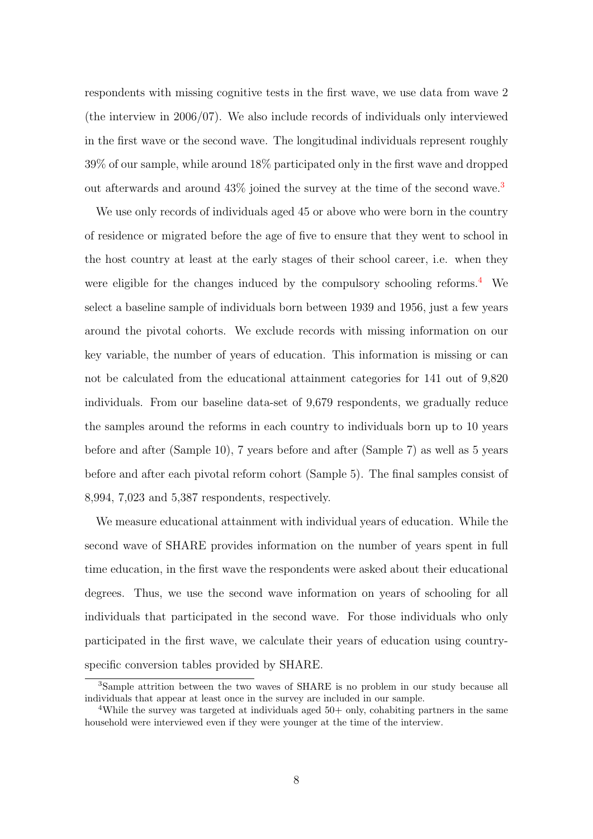respondents with missing cognitive tests in the first wave, we use data from wave 2 (the interview in 2006/07). We also include records of individuals only interviewed in the first wave or the second wave. The longitudinal individuals represent roughly 39% of our sample, while around 18% participated only in the first wave and dropped out afterwards and around  $43\%$  $43\%$  $43\%$  joined the survey at the time of the second wave.<sup>3</sup>

We use only records of individuals aged 45 or above who were born in the country of residence or migrated before the age of five to ensure that they went to school in the host country at least at the early stages of their school career, i.e. when they were eligible for the changes induced by the compulsory schooling reforms.<sup>[4](#page-9-1)</sup> We select a baseline sample of individuals born between 1939 and 1956, just a few years around the pivotal cohorts. We exclude records with missing information on our key variable, the number of years of education. This information is missing or can not be calculated from the educational attainment categories for 141 out of 9,820 individuals. From our baseline data-set of 9,679 respondents, we gradually reduce the samples around the reforms in each country to individuals born up to 10 years before and after (Sample 10), 7 years before and after (Sample 7) as well as 5 years before and after each pivotal reform cohort (Sample 5). The final samples consist of 8,994, 7,023 and 5,387 respondents, respectively.

We measure educational attainment with individual years of education. While the second wave of SHARE provides information on the number of years spent in full time education, in the first wave the respondents were asked about their educational degrees. Thus, we use the second wave information on years of schooling for all individuals that participated in the second wave. For those individuals who only participated in the first wave, we calculate their years of education using countryspecific conversion tables provided by SHARE.

<span id="page-9-0"></span><sup>&</sup>lt;sup>3</sup>Sample attrition between the two waves of SHARE is no problem in our study because all individuals that appear at least once in the survey are included in our sample.

<span id="page-9-1"></span><sup>&</sup>lt;sup>4</sup>While the survey was targeted at individuals aged  $50+$  only, cohabiting partners in the same household were interviewed even if they were younger at the time of the interview.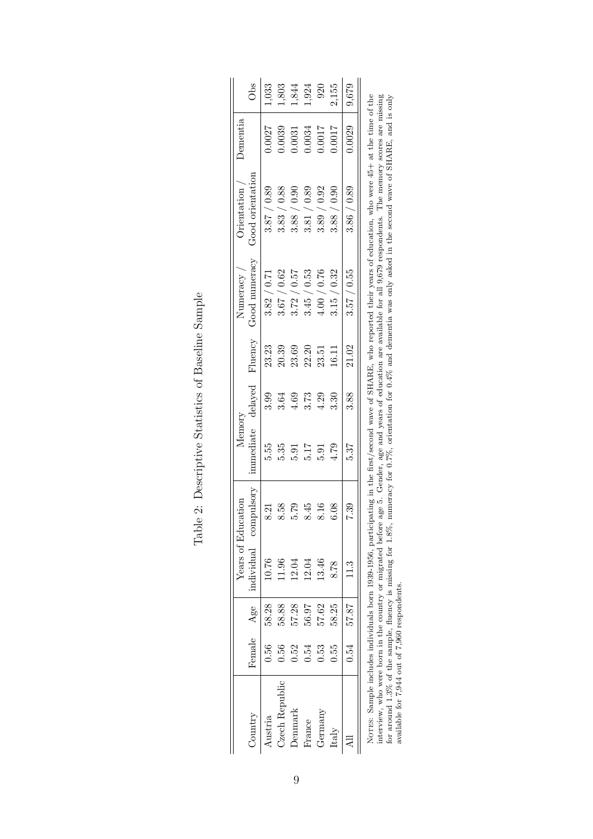<span id="page-10-0"></span>

|                |        |       |       | Years of Education    | Memory    |      |                 | Numeracy       | $O$ rientation $\overline{\phantom{a}}$                                                                                                                            | Dementia |       |
|----------------|--------|-------|-------|-----------------------|-----------|------|-----------------|----------------|--------------------------------------------------------------------------------------------------------------------------------------------------------------------|----------|-------|
| Country        | Female | Age   |       | individual compulsory | immediate |      | delayed Fluency | Good numeracy  | Good orientation                                                                                                                                                   |          | Obs   |
| Austria        | 0.56   | 58.28 | 10.76 | 8.21                  | 5.55      | 3.99 | 23.23           | 3.82 / 0.71    | 3.87 / 0.89                                                                                                                                                        | 0.0027   | ,033  |
| Czech Republic | 0.56   | 58.88 | 1.96  | 8.58                  | 5.35      | 3.64 | 20.39           | / 0.62<br>3.67 | / 0.88<br>3.83 <sub>1</sub>                                                                                                                                        | 0.0039   | 1,803 |
| Denmark        | 0.52   | 57.28 | 12.04 | 5.79                  | 5.91      | 4.69 | 23.69           | 3.72 / 0.57    | / 0.90<br>3.88                                                                                                                                                     | 0.0031   | 1,844 |
| France         | 0.54   | 56.97 | 12.04 | 8.45                  | 5.17      | 3.73 | 22.20           | / 0.53<br>3.45 | / 0.89<br>3.81                                                                                                                                                     | 1.0034   | .,924 |
| Germany        | 0.53   | 57.62 | 13.46 | 8.16                  | 5.91      | 4.29 | 23.51           | / 0.76<br>4.00 | / 0.92<br>3.89                                                                                                                                                     | 100.7    | 920   |
| Italy          | ).55   | 58.25 | 8.78  | 6.08                  | 4.79      | 3.30 | 16.11           | 3.15 / 0.32    | 3.88 / 0.90                                                                                                                                                        | 1.0017   | 2,155 |
|                | 0.54   | 57.87 | 11.3  | 7.39                  | 5.37      | 3.88 | 21.02           | 3.57 / 0.55    | 3.86 / 0.89                                                                                                                                                        | 0.0029   | 9,679 |
|                |        |       |       |                       |           |      |                 |                | Norrey. Sample includes individuals born 1930-1956, participating in the first ease of SHARR who reported their vears of education who were 45+ at the time of the |          |       |

NOTES: Sample includes individuals born 1939-1956, participating in the first/second wave of SHARE, who reported their years of education, who were 45+ at the time of the<br>interview, who were born in the country or migrated NOTES: Sample includes individuals born 1939-1956, participating in the first/second wave of SHARE, who reported their years of education, who were 45+ at the time of the interview, who were born in the country or migrated before age 5. Gender, age and years of education are available for all 9,679 respondents. The memory scores are missing for around 1.3% of the sample, fluency is missing for 1.8%, numeracy for 0.7%, orientation for 0.4% and dementia was only asked in the second wave of SHARE, and is only available for 7,944 out of 7,960 respondents.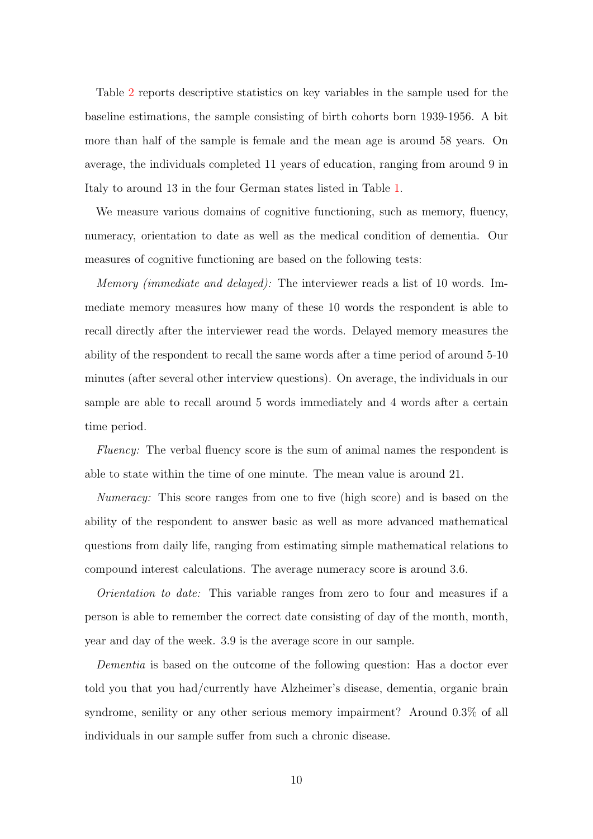Table [2](#page-10-0) reports descriptive statistics on key variables in the sample used for the baseline estimations, the sample consisting of birth cohorts born 1939-1956. A bit more than half of the sample is female and the mean age is around 58 years. On average, the individuals completed 11 years of education, ranging from around 9 in Italy to around 13 in the four German states listed in Table [1.](#page-8-1)

We measure various domains of cognitive functioning, such as memory, fluency, numeracy, orientation to date as well as the medical condition of dementia. Our measures of cognitive functioning are based on the following tests:

Memory (immediate and delayed): The interviewer reads a list of 10 words. Immediate memory measures how many of these 10 words the respondent is able to recall directly after the interviewer read the words. Delayed memory measures the ability of the respondent to recall the same words after a time period of around 5-10 minutes (after several other interview questions). On average, the individuals in our sample are able to recall around 5 words immediately and 4 words after a certain time period.

Fluency: The verbal fluency score is the sum of animal names the respondent is able to state within the time of one minute. The mean value is around 21.

Numeracy: This score ranges from one to five (high score) and is based on the ability of the respondent to answer basic as well as more advanced mathematical questions from daily life, ranging from estimating simple mathematical relations to compound interest calculations. The average numeracy score is around 3.6.

Orientation to date: This variable ranges from zero to four and measures if a person is able to remember the correct date consisting of day of the month, month, year and day of the week. 3.9 is the average score in our sample.

Dementia is based on the outcome of the following question: Has a doctor ever told you that you had/currently have Alzheimer's disease, dementia, organic brain syndrome, senility or any other serious memory impairment? Around 0.3% of all individuals in our sample suffer from such a chronic disease.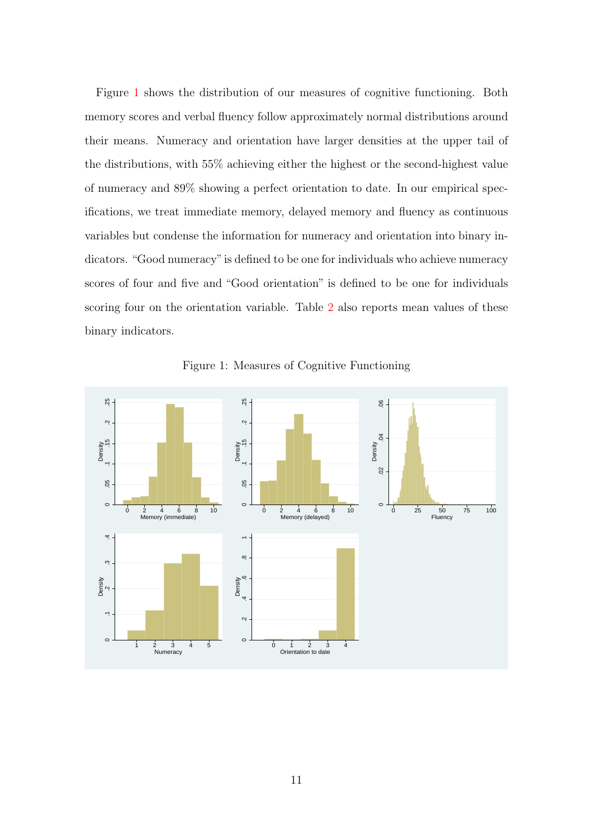Figure [1](#page-12-0) shows the distribution of our measures of cognitive functioning. Both memory scores and verbal fluency follow approximately normal distributions around their means. Numeracy and orientation have larger densities at the upper tail of the distributions, with 55% achieving either the highest or the second-highest value of numeracy and 89% showing a perfect orientation to date. In our empirical specifications, we treat immediate memory, delayed memory and fluency as continuous variables but condense the information for numeracy and orientation into binary indicators. "Good numeracy"is defined to be one for individuals who achieve numeracy scores of four and five and "Good orientation" is defined to be one for individuals scoring four on the orientation variable. Table [2](#page-10-0) also reports mean values of these binary indicators.



<span id="page-12-0"></span>Figure 1: Measures of Cognitive Functioning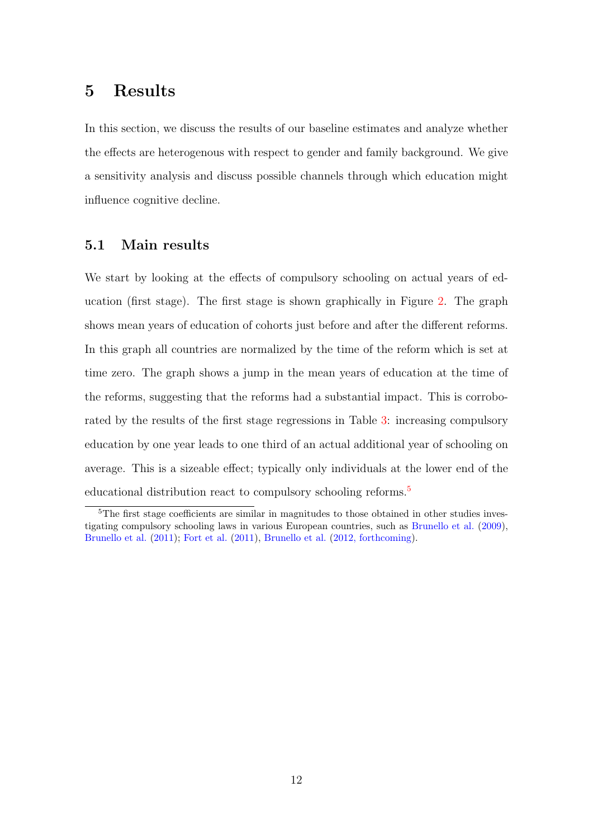### <span id="page-13-0"></span>5 Results

In this section, we discuss the results of our baseline estimates and analyze whether the effects are heterogenous with respect to gender and family background. We give a sensitivity analysis and discuss possible channels through which education might influence cognitive decline.

#### 5.1 Main results

We start by looking at the effects of compulsory schooling on actual years of education (first stage). The first stage is shown graphically in Figure [2.](#page-14-0) The graph shows mean years of education of cohorts just before and after the different reforms. In this graph all countries are normalized by the time of the reform which is set at time zero. The graph shows a jump in the mean years of education at the time of the reforms, suggesting that the reforms had a substantial impact. This is corroborated by the results of the first stage regressions in Table [3:](#page-14-1) increasing compulsory education by one year leads to one third of an actual additional year of schooling on average. This is a sizeable effect; typically only individuals at the lower end of the educational distribution react to compulsory schooling reforms.<sup>[5](#page-13-1)</sup>

<span id="page-13-1"></span><sup>&</sup>lt;sup>5</sup>The first stage coefficients are similar in magnitudes to those obtained in other studies investigating compulsory schooling laws in various European countries, such as [Brunello et al.](#page-28-6) [\(2009\)](#page-28-6), [Brunello et al.](#page-28-7) [\(2011\)](#page-28-7); [Fort et al.](#page-29-5) [\(2011\)](#page-29-5), [Brunello et al.](#page-28-8) [\(2012, forthcoming\)](#page-28-8).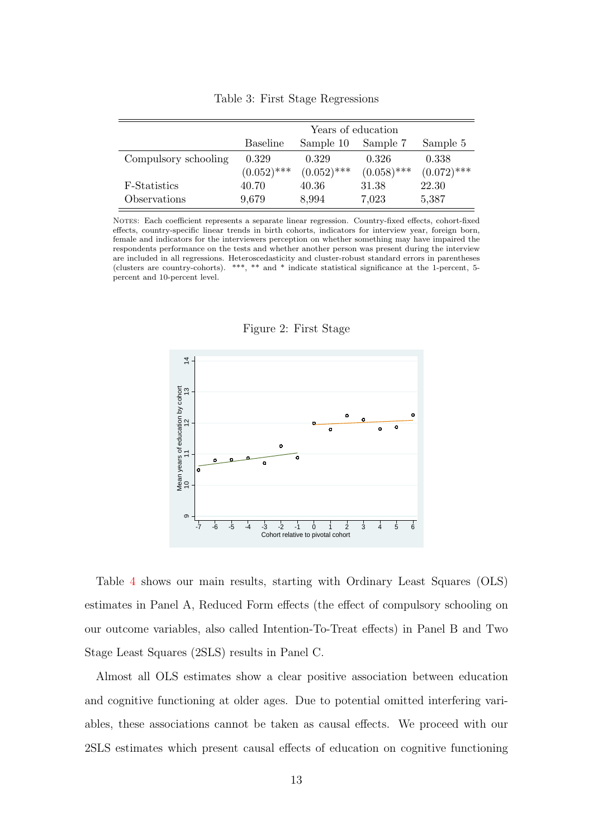|                      |               | Years of education |               |               |
|----------------------|---------------|--------------------|---------------|---------------|
|                      | Baseline      | Sample 10          | Sample 7      | Sample 5      |
| Compulsory schooling | 0.329         | 0.329              | 0.326         | 0.338         |
|                      | $(0.052)$ *** | $(0.052)$ ***      | $(0.058)$ *** | $(0.072)$ *** |
| F-Statistics         | 40.70         | 40.36              | 31.38         | 22.30         |
| Observations         | 9,679         | 8,994              | 7,023         | 5,387         |

<span id="page-14-1"></span>Table 3: First Stage Regressions

NOTES: Each coefficient represents a separate linear regression. Country-fixed effects, cohort-fixed effects, country-specific linear trends in birth cohorts, indicators for interview year, foreign born, female and indicators for the interviewers perception on whether something may have impaired the respondents performance on the tests and whether another person was present during the interview are included in all regressions. Heteroscedasticity and cluster-robust standard errors in parentheses (clusters are country-cohorts). \*\*\*, \*\* and \* indicate statistical significance at the 1-percent, 5 percent and 10-percent level.



<span id="page-14-0"></span>Figure 2: First Stage

Table [4](#page-16-0) shows our main results, starting with Ordinary Least Squares (OLS) estimates in Panel A, Reduced Form effects (the effect of compulsory schooling on our outcome variables, also called Intention-To-Treat effects) in Panel B and Two Stage Least Squares (2SLS) results in Panel C.

Almost all OLS estimates show a clear positive association between education and cognitive functioning at older ages. Due to potential omitted interfering variables, these associations cannot be taken as causal effects. We proceed with our 2SLS estimates which present causal effects of education on cognitive functioning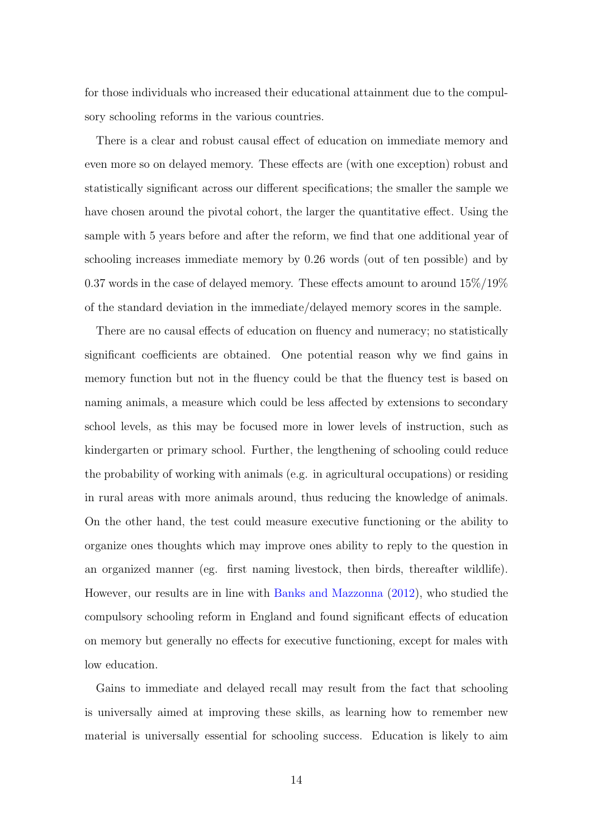for those individuals who increased their educational attainment due to the compulsory schooling reforms in the various countries.

There is a clear and robust causal effect of education on immediate memory and even more so on delayed memory. These effects are (with one exception) robust and statistically significant across our different specifications; the smaller the sample we have chosen around the pivotal cohort, the larger the quantitative effect. Using the sample with 5 years before and after the reform, we find that one additional year of schooling increases immediate memory by 0.26 words (out of ten possible) and by 0.37 words in the case of delayed memory. These effects amount to around 15%/19% of the standard deviation in the immediate/delayed memory scores in the sample.

There are no causal effects of education on fluency and numeracy; no statistically significant coefficients are obtained. One potential reason why we find gains in memory function but not in the fluency could be that the fluency test is based on naming animals, a measure which could be less affected by extensions to secondary school levels, as this may be focused more in lower levels of instruction, such as kindergarten or primary school. Further, the lengthening of schooling could reduce the probability of working with animals (e.g. in agricultural occupations) or residing in rural areas with more animals around, thus reducing the knowledge of animals. On the other hand, the test could measure executive functioning or the ability to organize ones thoughts which may improve ones ability to reply to the question in an organized manner (eg. first naming livestock, then birds, thereafter wildlife). However, our results are in line with [Banks and Mazzonna](#page-27-1) [\(2012\)](#page-27-1), who studied the compulsory schooling reform in England and found significant effects of education on memory but generally no effects for executive functioning, except for males with low education.

Gains to immediate and delayed recall may result from the fact that schooling is universally aimed at improving these skills, as learning how to remember new material is universally essential for schooling success. Education is likely to aim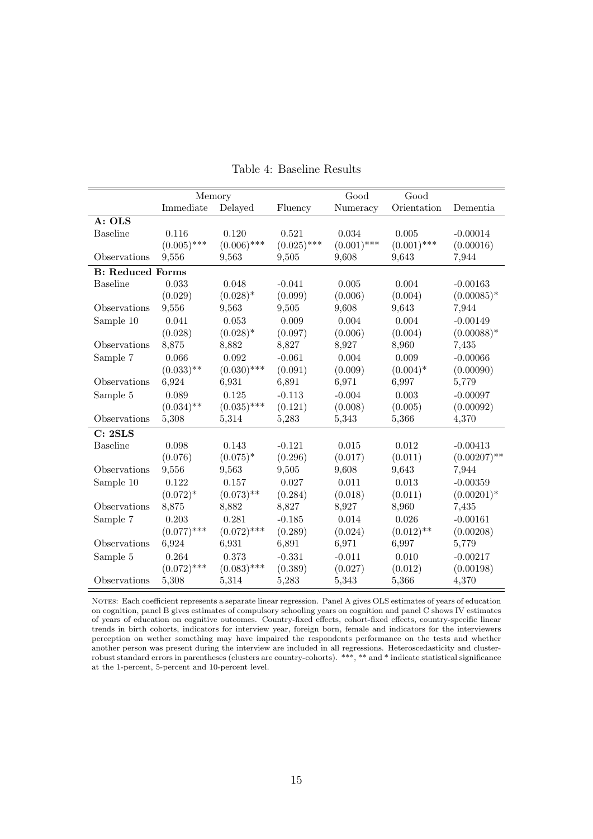|                         | Memory        |               |               | Good          | Good          |                |
|-------------------------|---------------|---------------|---------------|---------------|---------------|----------------|
|                         | Immediate     | Delayed       | Fluency       | Numeracy      | Orientation   | Dementia       |
| A: OLS                  |               |               |               |               |               |                |
| <b>Baseline</b>         | 0.116         | 0.120         | 0.521         | 0.034         | 0.005         | $-0.00014$     |
|                         | $(0.005)$ *** | $(0.006)$ *** | $(0.025)$ *** | $(0.001)$ *** | $(0.001)$ *** | (0.00016)      |
| Observations            | 9,556         | 9,563         | 9,505         | 9,608         | 9,643         | 7,944          |
| <b>B:</b> Reduced Forms |               |               |               |               |               |                |
| <b>Baseline</b>         | 0.033         | 0.048         | $-0.041$      | 0.005         | 0.004         | $-0.00163$     |
|                         | (0.029)       | $(0.028)^*$   | (0.099)       | (0.006)       | (0.004)       | $(0.00085)*$   |
| Observations            | 9,556         | 9,563         | 9,505         | 9,608         | 9,643         | 7,944          |
| Sample 10               | 0.041         | 0.053         | 0.009         | 0.004         | 0.004         | $-0.00149$     |
|                         | (0.028)       | $(0.028)^*$   | (0.097)       | (0.006)       | (0.004)       | $(0.00088)*$   |
| Observations            | 8,875         | 8,882         | 8,827         | 8,927         | 8,960         | 7,435          |
| Sample 7                | 0.066         | 0.092         | $-0.061$      | 0.004         | 0.009         | $-0.00066$     |
|                         | $(0.033)$ **  | $(0.030)$ *** | (0.091)       | (0.009)       | $(0.004)^*$   | (0.00090)      |
| Observations            | 6,924         | 6,931         | 6,891         | 6,971         | 6,997         | 5,779          |
| Sample 5                | 0.089         | 0.125         | $-0.113$      | $-0.004$      | 0.003         | $-0.00097$     |
|                         | $(0.034)$ **  | $(0.035)$ *** | (0.121)       | (0.008)       | (0.005)       | (0.00092)      |
| Observations            | 5,308         | 5,314         | 5,283         | 5,343         | 5,366         | 4,370          |
| C: 2SLS                 |               |               |               |               |               |                |
| <b>Baseline</b>         | 0.098         | 0.143         | $-0.121$      | 0.015         | 0.012         | $-0.00413$     |
|                         | (0.076)       | $(0.075)^*$   | (0.296)       | (0.017)       | (0.011)       | $(0.00207)$ ** |
| Observations            | 9,556         | 9,563         | 9,505         | 9,608         | 9,643         | 7,944          |
| Sample 10               | 0.122         | 0.157         | 0.027         | 0.011         | 0.013         | $-0.00359$     |
|                         | $(0.072)^*$   | $(0.073)$ **  | (0.284)       | (0.018)       | (0.011)       | $(0.00201)^*$  |
| Observations            | 8,875         | 8,882         | 8,827         | 8,927         | 8,960         | 7,435          |
| Sample 7                | 0.203         | 0.281         | $-0.185$      | 0.014         | 0.026         | $-0.00161$     |
|                         | $(0.077)$ *** | $(0.072)$ *** | (0.289)       | (0.024)       | $(0.012)$ **  | (0.00208)      |
| Observations            | 6,924         | 6,931         | 6,891         | 6,971         | 6,997         | 5,779          |
| Sample 5                | 0.264         | 0.373         | $-0.331$      | $-0.011$      | 0.010         | $-0.00217$     |
|                         | $(0.072)$ *** | $(0.083)$ *** | (0.389)       | (0.027)       | (0.012)       | (0.00198)      |
| Observations            | 5,308         | 5,314         | 5,283         | 5,343         | 5,366         | 4,370          |

<span id="page-16-0"></span>Table 4: Baseline Results

Notes: Each coefficient represents a separate linear regression. Panel A gives OLS estimates of years of education on cognition, panel B gives estimates of compulsory schooling years on cognition and panel C shows IV estimates of years of education on cognitive outcomes. Country-fixed effects, cohort-fixed effects, country-specific linear trends in birth cohorts, indicators for interview year, foreign born, female and indicators for the interviewers perception on wether something may have impaired the respondents performance on the tests and whether another person was present during the interview are included in all regressions. Heteroscedasticity and clusterrobust standard errors in parentheses (clusters are country-cohorts). \*\*\*, \*\* and \* indicate statistical significance at the 1-percent, 5-percent and 10-percent level.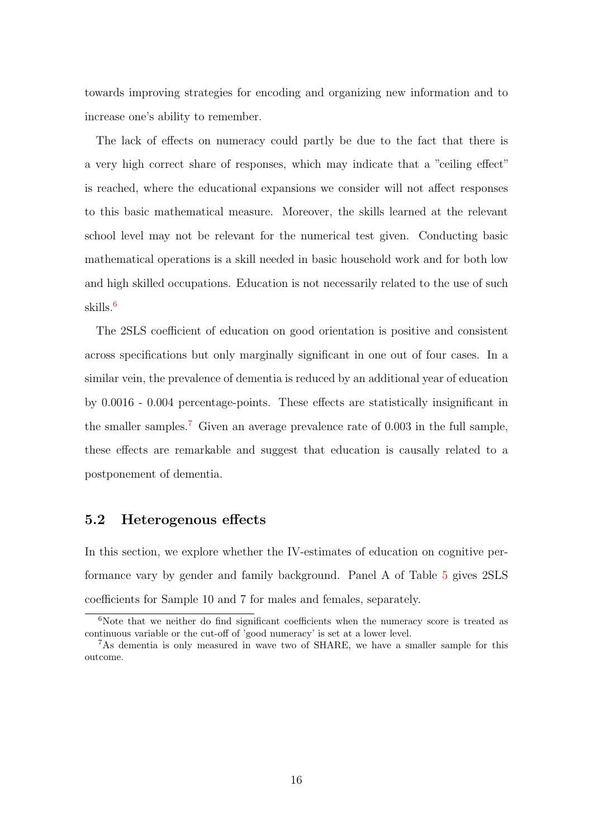towards improving strategies for encoding and organizing new information and to increase one's ability to remember.

The lack of effects on numeracy could partly be due to the fact that there is a very high correct share of responses, which may indicate that a "ceiling effect" is reached, where the educational expansions we consider will not affect responses to this basic mathematical measure. Moreover, the skills learned at the relevant school level may not be relevant for the numerical test given. Conducting basic mathematical operations is a skill needed in basic household work and for both low and high skilled occupations. Education is not necessarily related to the use of such skills.[6](#page-17-0)

The 2SLS coefficient of education on good orientation is positive and consistent across specifications but only marginally significant in one out of four cases. In a similar vein, the prevalence of dementia is reduced by an additional year of education by 0.0016 - 0.004 percentage-points. These effects are statistically insignificant in the smaller samples.<sup>[7](#page-17-1)</sup> Given an average prevalence rate of  $0.003$  in the full sample, these effects are remarkable and suggest that education is causally related to a postponement of dementia.

#### 5.2 Heterogenous effects

In this section, we explore whether the IV-estimates of education on cognitive performance vary by gender and family background. Panel A of Table [5](#page-18-0) gives 2SLS coefficients for Sample 10 and 7 for males and females, separately.

<span id="page-17-0"></span> $6$ Note that we neither do find significant coefficients when the numeracy score is treated as continuous variable or the cut-off of 'good numeracy' is set at a lower level.

<span id="page-17-1"></span><sup>7</sup>As dementia is only measured in wave two of SHARE, we have a smaller sample for this outcome.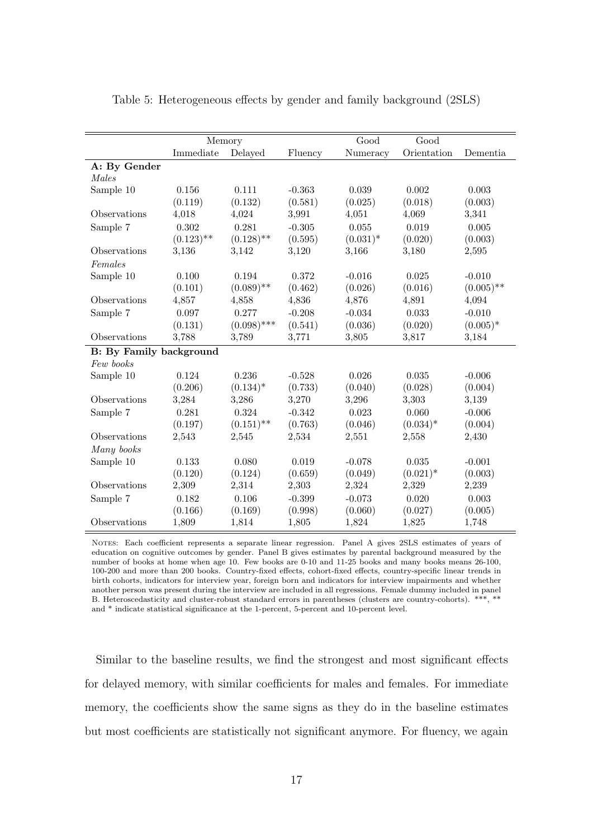|                                | Memory       |               |          | Good        | Good        |              |
|--------------------------------|--------------|---------------|----------|-------------|-------------|--------------|
|                                | Immediate    | Delayed       | Fluency  | Numeracy    | Orientation | Dementia     |
| A: By Gender                   |              |               |          |             |             |              |
| Males                          |              |               |          |             |             |              |
| Sample 10                      | 0.156        | 0.111         | $-0.363$ | 0.039       | 0.002       | 0.003        |
|                                | (0.119)      | (0.132)       | (0.581)  | (0.025)     | (0.018)     | (0.003)      |
| Observations                   | 4,018        | 4,024         | 3,991    | 4,051       | 4,069       | 3,341        |
| Sample 7                       | 0.302        | 0.281         | $-0.305$ | 0.055       | 0.019       | 0.005        |
|                                | $(0.123)$ ** | $(0.128)$ **  | (0.595)  | $(0.031)^*$ | (0.020)     | (0.003)      |
| Observations                   | 3,136        | 3,142         | 3,120    | 3,166       | 3,180       | 2,595        |
| Females                        |              |               |          |             |             |              |
| Sample 10                      | 0.100        | 0.194         | 0.372    | $-0.016$    | 0.025       | $-0.010$     |
|                                | (0.101)      | $(0.089)$ **  | (0.462)  | (0.026)     | (0.016)     | $(0.005)$ ** |
| Observations                   | 4,857        | 4,858         | 4,836    | 4,876       | 4,891       | 4,094        |
| Sample 7                       | 0.097        | 0.277         | $-0.208$ | $-0.034$    | 0.033       | $-0.010$     |
|                                | (0.131)      | $(0.098)$ *** | (0.541)  | (0.036)     | (0.020)     | $(0.005)^*$  |
| <b>Observations</b>            | 3,788        | 3,789         | 3,771    | 3,805       | 3,817       | 3,184        |
| <b>B:</b> By Family background |              |               |          |             |             |              |
| Few books                      |              |               |          |             |             |              |
| Sample 10                      | 0.124        | 0.236         | $-0.528$ | 0.026       | 0.035       | $-0.006$     |
|                                | (0.206)      | $(0.134)^*$   | (0.733)  | (0.040)     | (0.028)     | (0.004)      |
| Observations                   | 3,284        | 3,286         | 3,270    | 3,296       | 3,303       | 3,139        |
| Sample 7                       | 0.281        | 0.324         | $-0.342$ | 0.023       | 0.060       | $-0.006$     |
|                                | (0.197)      | $(0.151)$ **  | (0.763)  | (0.046)     | $(0.034)^*$ | (0.004)      |
| Observations                   | 2,543        | 2,545         | 2,534    | 2,551       | 2,558       | 2,430        |
| Many books                     |              |               |          |             |             |              |
| Sample 10                      | 0.133        | 0.080         | 0.019    | $-0.078$    | 0.035       | $-0.001$     |
|                                | (0.120)      | (0.124)       | (0.659)  | (0.049)     | $(0.021)^*$ | (0.003)      |
| Observations                   | 2,309        | 2,314         | 2,303    | 2,324       | 2,329       | 2,239        |
| Sample 7                       | 0.182        | 0.106         | $-0.399$ | $-0.073$    | 0.020       | 0.003        |
|                                | (0.166)      | (0.169)       | (0.998)  | (0.060)     | (0.027)     | (0.005)      |
| Observations                   | 1,809        | 1,814         | 1,805    | 1,824       | 1,825       | 1,748        |

<span id="page-18-0"></span>Table 5: Heterogeneous effects by gender and family background (2SLS)

NOTES: Each coefficient represents a separate linear regression. Panel A gives 2SLS estimates of years of education on cognitive outcomes by gender. Panel B gives estimates by parental background measured by the number of books at home when age 10. Few books are 0-10 and 11-25 books and many books means 26-100, 100-200 and more than 200 books. Country-fixed effects, cohort-fixed effects, country-specific linear trends in birth cohorts, indicators for interview year, foreign born and indicators for interview impairments and whether another person was present during the interview are included in all regressions. Female dummy included in panel B. Heteroscedasticity and cluster-robust standard errors in parentheses (clusters are country-cohorts). \*\*\*, \*\* and \* indicate statistical significance at the 1-percent, 5-percent and 10-percent level.

Similar to the baseline results, we find the strongest and most significant effects for delayed memory, with similar coefficients for males and females. For immediate memory, the coefficients show the same signs as they do in the baseline estimates but most coefficients are statistically not significant anymore. For fluency, we again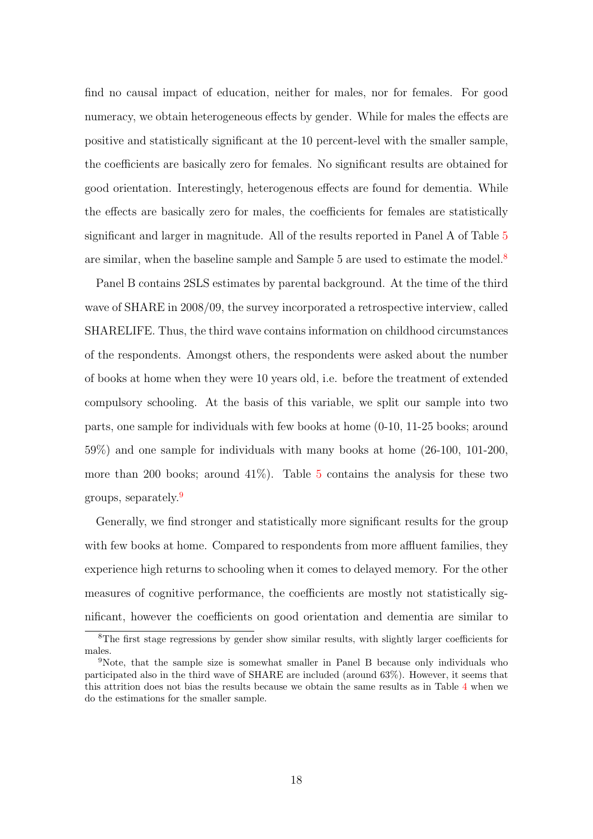find no causal impact of education, neither for males, nor for females. For good numeracy, we obtain heterogeneous effects by gender. While for males the effects are positive and statistically significant at the 10 percent-level with the smaller sample, the coefficients are basically zero for females. No significant results are obtained for good orientation. Interestingly, heterogenous effects are found for dementia. While the effects are basically zero for males, the coefficients for females are statistically significant and larger in magnitude. All of the results reported in Panel A of Table [5](#page-18-0) are similar, when the baseline sample and Sample 5 are used to estimate the model.<sup>[8](#page-19-0)</sup>

Panel B contains 2SLS estimates by parental background. At the time of the third wave of SHARE in 2008/09, the survey incorporated a retrospective interview, called SHARELIFE. Thus, the third wave contains information on childhood circumstances of the respondents. Amongst others, the respondents were asked about the number of books at home when they were 10 years old, i.e. before the treatment of extended compulsory schooling. At the basis of this variable, we split our sample into two parts, one sample for individuals with few books at home (0-10, 11-25 books; around 59%) and one sample for individuals with many books at home (26-100, 101-200, more than 200 books; around  $41\%$ ). Table [5](#page-18-0) contains the analysis for these two groups, separately.[9](#page-19-1)

Generally, we find stronger and statistically more significant results for the group with few books at home. Compared to respondents from more affluent families, they experience high returns to schooling when it comes to delayed memory. For the other measures of cognitive performance, the coefficients are mostly not statistically significant, however the coefficients on good orientation and dementia are similar to

<span id="page-19-0"></span><sup>8</sup>The first stage regressions by gender show similar results, with slightly larger coefficients for males.

<span id="page-19-1"></span><sup>9</sup>Note, that the sample size is somewhat smaller in Panel B because only individuals who participated also in the third wave of SHARE are included (around 63%). However, it seems that this attrition does not bias the results because we obtain the same results as in Table [4](#page-16-0) when we do the estimations for the smaller sample.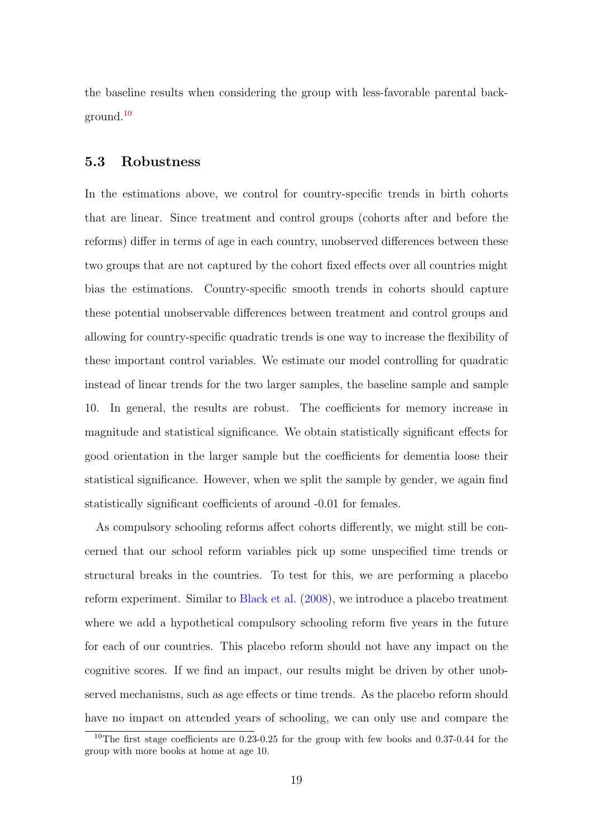the baseline results when considering the group with less-favorable parental background.[10](#page-20-0)

#### 5.3 Robustness

In the estimations above, we control for country-specific trends in birth cohorts that are linear. Since treatment and control groups (cohorts after and before the reforms) differ in terms of age in each country, unobserved differences between these two groups that are not captured by the cohort fixed effects over all countries might bias the estimations. Country-specific smooth trends in cohorts should capture these potential unobservable differences between treatment and control groups and allowing for country-specific quadratic trends is one way to increase the flexibility of these important control variables. We estimate our model controlling for quadratic instead of linear trends for the two larger samples, the baseline sample and sample 10. In general, the results are robust. The coefficients for memory increase in magnitude and statistical significance. We obtain statistically significant effects for good orientation in the larger sample but the coefficients for dementia loose their statistical significance. However, when we split the sample by gender, we again find statistically significant coefficients of around -0.01 for females.

As compulsory schooling reforms affect cohorts differently, we might still be concerned that our school reform variables pick up some unspecified time trends or structural breaks in the countries. To test for this, we are performing a placebo reform experiment. Similar to [Black et al.](#page-27-3) [\(2008\)](#page-27-3), we introduce a placebo treatment where we add a hypothetical compulsory schooling reform five years in the future for each of our countries. This placebo reform should not have any impact on the cognitive scores. If we find an impact, our results might be driven by other unobserved mechanisms, such as age effects or time trends. As the placebo reform should have no impact on attended years of schooling, we can only use and compare the

<span id="page-20-0"></span><sup>10</sup>The first stage coefficients are 0.23-0.25 for the group with few books and 0.37-0.44 for the group with more books at home at age 10.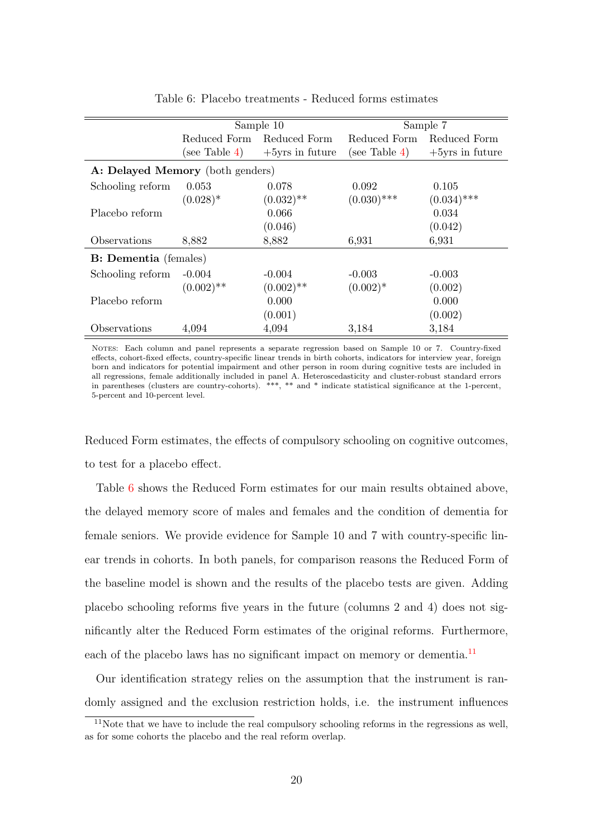|                                  |               | Sample 10          |               | Sample 7           |
|----------------------------------|---------------|--------------------|---------------|--------------------|
|                                  | Reduced Form  | Reduced Form       | Reduced Form  | Reduced Form       |
|                                  | (see Table 4) | $+5$ yrs in future | (see Table 4) | $+5$ yrs in future |
| A: Delayed Memory (both genders) |               |                    |               |                    |
| Schooling reform                 | 0.053         | 0.078              | 0.092         | 0.105              |
|                                  | $(0.028)^*$   | $(0.032)$ **       | $(0.030)$ *** | $(0.034)$ ***      |
| Placebo reform                   |               | 0.066              |               | 0.034              |
|                                  |               | (0.046)            |               | (0.042)            |
| Observations                     | 8,882         | 8,882              | 6,931         | 6,931              |
| <b>B:</b> Dementia (females)     |               |                    |               |                    |
| Schooling reform                 | $-0.004$      | $-0.004$           | $-0.003$      | $-0.003$           |
|                                  | $(0.002)$ **  | $(0.002)$ **       | $(0.002)^*$   | (0.002)            |
| Placebo reform                   |               | 0.000              |               | 0.000              |
|                                  |               | (0.001)            |               | (0.002)            |
| Observations                     | 4,094         | 4,094              | 3,184         | 3,184              |

<span id="page-21-0"></span>Table 6: Placebo treatments - Reduced forms estimates

Notes: Each column and panel represents a separate regression based on Sample 10 or 7. Country-fixed effects, cohort-fixed effects, country-specific linear trends in birth cohorts, indicators for interview year, foreign born and indicators for potential impairment and other person in room during cognitive tests are included in all regressions, female additionally included in panel A. Heteroscedasticity and cluster-robust standard errors in parentheses (clusters are country-cohorts). \*\*\*, \*\* and \* indicate statistical significance at the 1-percent, 5-percent and 10-percent level.

Reduced Form estimates, the effects of compulsory schooling on cognitive outcomes, to test for a placebo effect.

Table [6](#page-21-0) shows the Reduced Form estimates for our main results obtained above, the delayed memory score of males and females and the condition of dementia for female seniors. We provide evidence for Sample 10 and 7 with country-specific linear trends in cohorts. In both panels, for comparison reasons the Reduced Form of the baseline model is shown and the results of the placebo tests are given. Adding placebo schooling reforms five years in the future (columns 2 and 4) does not significantly alter the Reduced Form estimates of the original reforms. Furthermore, each of the placebo laws has no significant impact on memory or dementia.<sup>[11](#page-21-1)</sup>

Our identification strategy relies on the assumption that the instrument is randomly assigned and the exclusion restriction holds, i.e. the instrument influences

<span id="page-21-1"></span> $11$ Note that we have to include the real compulsory schooling reforms in the regressions as well, as for some cohorts the placebo and the real reform overlap.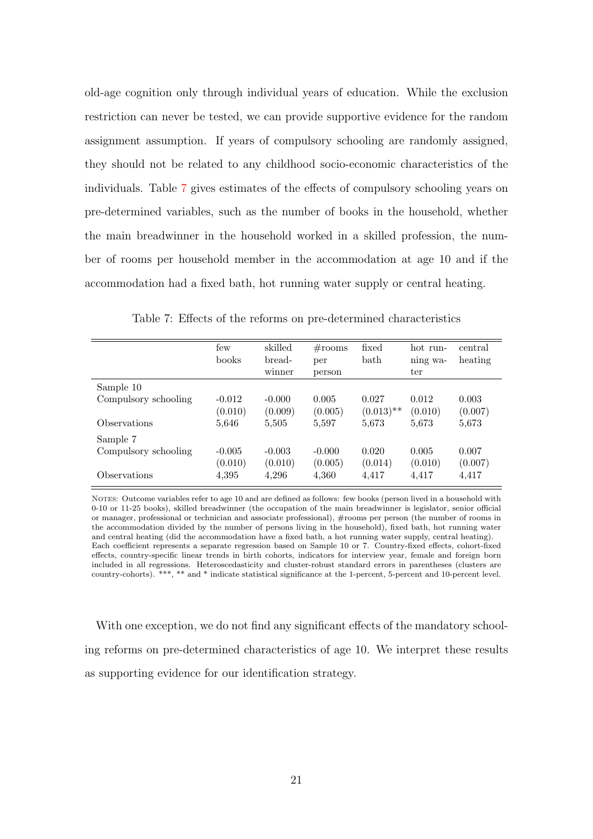old-age cognition only through individual years of education. While the exclusion restriction can never be tested, we can provide supportive evidence for the random assignment assumption. If years of compulsory schooling are randomly assigned, they should not be related to any childhood socio-economic characteristics of the individuals. Table [7](#page-22-0) gives estimates of the effects of compulsory schooling years on pre-determined variables, such as the number of books in the household, whether the main breadwinner in the household worked in a skilled profession, the number of rooms per household member in the accommodation at age 10 and if the accommodation had a fixed bath, hot running water supply or central heating.

|                      | few<br>books        | skilled<br>bread-<br>winner | $\#\text{rooms}$<br>per<br>person | fixed<br>bath         | hot run-<br>ning wa-<br>ter | central<br>heating |
|----------------------|---------------------|-----------------------------|-----------------------------------|-----------------------|-----------------------------|--------------------|
| Sample 10            |                     |                             |                                   |                       |                             |                    |
| Compulsory schooling | $-0.012$<br>(0.010) | $-0.000$<br>(0.009)         | 0.005<br>(0.005)                  | 0.027<br>$(0.013)$ ** | 0.012<br>(0.010)            | 0.003<br>(0.007)   |
| Observations         | 5,646               | 5,505                       | 5,597                             | 5,673                 | 5,673                       | 5,673              |
| Sample 7             |                     |                             |                                   |                       |                             |                    |
| Compulsory schooling | $-0.005$<br>(0.010) | $-0.003$<br>(0.010)         | $-0.000$<br>(0.005)               | 0.020<br>(0.014)      | 0.005<br>(0.010)            | 0.007<br>(0.007)   |
| Observations         | 4,395               | 4,296                       | 4,360                             | 4,417                 | 4,417                       | 4,417              |

<span id="page-22-0"></span>Table 7: Effects of the reforms on pre-determined characteristics

NOTES: Outcome variables refer to age 10 and are defined as follows: few books (person lived in a household with 0-10 or 11-25 books), skilled breadwinner (the occupation of the main breadwinner is legislator, senior official or manager, professional or technician and associate professional), #rooms per person (the number of rooms in the accommodation divided by the number of persons living in the household), fixed bath, hot running water and central heating (did the accommodation have a fixed bath, a hot running water supply, central heating). Each coefficient represents a separate regression based on Sample 10 or 7. Country-fixed effects, cohort-fixed effects, country-specific linear trends in birth cohorts, indicators for interview year, female and foreign born included in all regressions. Heteroscedasticity and cluster-robust standard errors in parentheses (clusters are country-cohorts). \*\*\*, \*\* and \* indicate statistical significance at the 1-percent, 5-percent and 10-percent level.

With one exception, we do not find any significant effects of the mandatory schooling reforms on pre-determined characteristics of age 10. We interpret these results as supporting evidence for our identification strategy.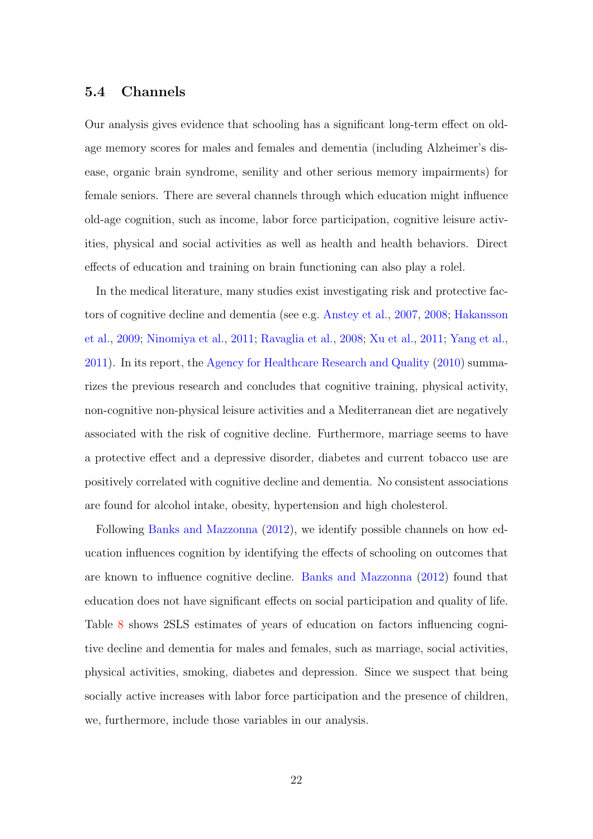#### 5.4 Channels

Our analysis gives evidence that schooling has a significant long-term effect on oldage memory scores for males and females and dementia (including Alzheimer's disease, organic brain syndrome, senility and other serious memory impairments) for female seniors. There are several channels through which education might influence old-age cognition, such as income, labor force participation, cognitive leisure activities, physical and social activities as well as health and health behaviors. Direct effects of education and training on brain functioning can also play a rolel.

In the medical literature, many studies exist investigating risk and protective factors of cognitive decline and dementia (see e.g. [Anstey et al.,](#page-27-4) [2007,](#page-27-4) [2008;](#page-27-5) [Hakansson](#page-29-6) [et al.,](#page-29-6) [2009;](#page-29-6) [Ninomiya et al.,](#page-30-7) [2011;](#page-30-7) [Ravaglia et al.,](#page-31-7) [2008;](#page-31-7) [Xu et al.,](#page-32-3) [2011;](#page-32-3) [Yang et al.,](#page-32-4) [2011\)](#page-32-4). In its report, the [Agency for Healthcare Research and Quality](#page-27-6) [\(2010\)](#page-27-6) summarizes the previous research and concludes that cognitive training, physical activity, non-cognitive non-physical leisure activities and a Mediterranean diet are negatively associated with the risk of cognitive decline. Furthermore, marriage seems to have a protective effect and a depressive disorder, diabetes and current tobacco use are positively correlated with cognitive decline and dementia. No consistent associations are found for alcohol intake, obesity, hypertension and high cholesterol.

Following [Banks and Mazzonna](#page-27-1) [\(2012\)](#page-27-1), we identify possible channels on how education influences cognition by identifying the effects of schooling on outcomes that are known to influence cognitive decline. [Banks and Mazzonna](#page-27-1) [\(2012\)](#page-27-1) found that education does not have significant effects on social participation and quality of life. Table [8](#page-24-0) shows 2SLS estimates of years of education on factors influencing cognitive decline and dementia for males and females, such as marriage, social activities, physical activities, smoking, diabetes and depression. Since we suspect that being socially active increases with labor force participation and the presence of children, we, furthermore, include those variables in our analysis.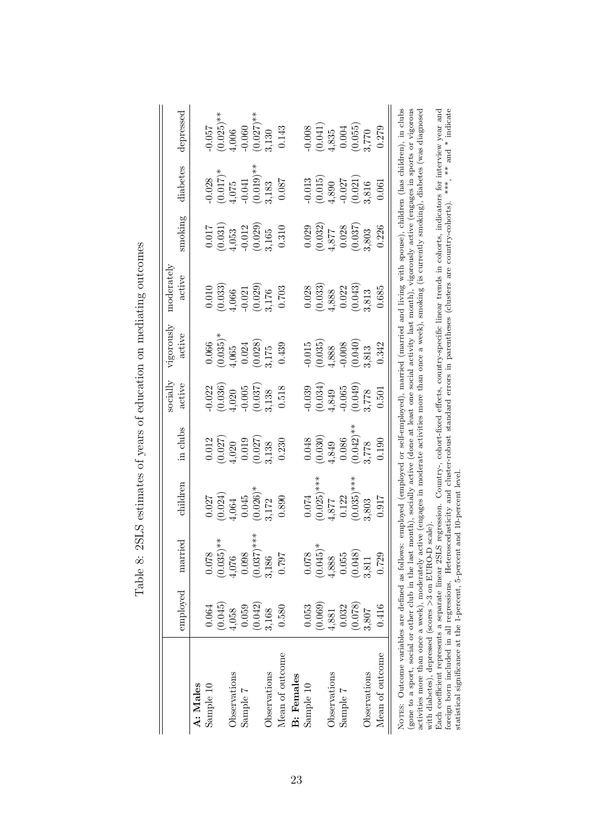<span id="page-24-0"></span>

|                                                                                                                                                                                                                                                                                                                                                                                                                                                                                                                                                                                                                                                                                                                                                                                                                                                                        | employed | married       | children      | in clubs              | $_{\rm socialy}$<br>active | vigorously<br>active                          | moderately<br>active                                                                                                       | smoking  | diabetes     | depressed                |
|------------------------------------------------------------------------------------------------------------------------------------------------------------------------------------------------------------------------------------------------------------------------------------------------------------------------------------------------------------------------------------------------------------------------------------------------------------------------------------------------------------------------------------------------------------------------------------------------------------------------------------------------------------------------------------------------------------------------------------------------------------------------------------------------------------------------------------------------------------------------|----------|---------------|---------------|-----------------------|----------------------------|-----------------------------------------------|----------------------------------------------------------------------------------------------------------------------------|----------|--------------|--------------------------|
| A: Males                                                                                                                                                                                                                                                                                                                                                                                                                                                                                                                                                                                                                                                                                                                                                                                                                                                               |          |               |               |                       |                            |                                               |                                                                                                                            |          |              |                          |
| Sample 10                                                                                                                                                                                                                                                                                                                                                                                                                                                                                                                                                                                                                                                                                                                                                                                                                                                              | 0.064    | 0.078         | 0.027         | 0.012                 | 0.022                      | 0.066                                         | 0.010                                                                                                                      | 0.017    | 0.028        | <b>1900</b>              |
|                                                                                                                                                                                                                                                                                                                                                                                                                                                                                                                                                                                                                                                                                                                                                                                                                                                                        | (0.045)  | $(0.035)$ **  | (0.024)       | (0.027)               | (0.036)                    | $(0.035)^*$                                   | (0.033)                                                                                                                    | (0.031)  | $(0.017)$ *  | $(0.025)$ **             |
| Observations                                                                                                                                                                                                                                                                                                                                                                                                                                                                                                                                                                                                                                                                                                                                                                                                                                                           | 1,058    | 4,076         | 4,064         | 4,020                 |                            | 1,065                                         | 1,066                                                                                                                      | 1,053    | 1,075        | 1,006                    |
| Sample 7                                                                                                                                                                                                                                                                                                                                                                                                                                                                                                                                                                                                                                                                                                                                                                                                                                                               | 0.059    | 0.098         | 0.045         | 0.019                 | $4,020$<br>$-0.005$        |                                               |                                                                                                                            | $-0.012$ |              | 0.060                    |
|                                                                                                                                                                                                                                                                                                                                                                                                                                                                                                                                                                                                                                                                                                                                                                                                                                                                        | (0.042)  | $(0.037)$ *** | $(0.026)$ *   | (0.027)               |                            | $\begin{array}{c} 0.024 \\ 0.028 \end{array}$ | $-0.021$<br>$(0.029)$                                                                                                      | (0.029)  | $(0.019)$ ** | $(0.027)$ **             |
| Observations                                                                                                                                                                                                                                                                                                                                                                                                                                                                                                                                                                                                                                                                                                                                                                                                                                                           | 3,168    | 3,186         | 3,172         | ,138                  | $\binom{0.037}{3,138}$     | ,175                                          | 3,176                                                                                                                      | 3,165    | 3,183        | ,130                     |
| Mean of outcome                                                                                                                                                                                                                                                                                                                                                                                                                                                                                                                                                                                                                                                                                                                                                                                                                                                        | 0.580    | 162.0         | 0.890         | 0.230                 | 0.518                      | 0.439                                         | 0.703                                                                                                                      | 0.310    | 0.087        | 0.143                    |
| <b>B</b> : Females                                                                                                                                                                                                                                                                                                                                                                                                                                                                                                                                                                                                                                                                                                                                                                                                                                                     |          |               |               |                       |                            |                                               |                                                                                                                            |          |              |                          |
| Sample 10                                                                                                                                                                                                                                                                                                                                                                                                                                                                                                                                                                                                                                                                                                                                                                                                                                                              | 0.053    | 0.078         | 0.074         | 0.048                 | 0.039                      | 0.015                                         | 0.028                                                                                                                      | 0.029    | 0.013        | 0.008                    |
|                                                                                                                                                                                                                                                                                                                                                                                                                                                                                                                                                                                                                                                                                                                                                                                                                                                                        | (0.069)  | $(0.045)$ *   | $(0.025)$ *** | (0.030)               | (0.034)                    | (0.035)                                       | (0.033)                                                                                                                    | (0.032)  | (0.015)      |                          |
| Observations                                                                                                                                                                                                                                                                                                                                                                                                                                                                                                                                                                                                                                                                                                                                                                                                                                                           | 1,881    | 4,888         | 4,877         | 4,849                 | 1,849                      | 1,888                                         | 4,888                                                                                                                      | 1.877    | 1,890        | $_{\rm 1,835}^{(0.041)}$ |
| Sample 7                                                                                                                                                                                                                                                                                                                                                                                                                                                                                                                                                                                                                                                                                                                                                                                                                                                               | 0.032    | 0.055         | 0.122         | 0.086                 | $-0.065$                   | 0.008                                         | $0.022\,$                                                                                                                  | 0.028    | 0.027        | 0.004                    |
|                                                                                                                                                                                                                                                                                                                                                                                                                                                                                                                                                                                                                                                                                                                                                                                                                                                                        | (0.078)  | (0.048)       | $(0.035)$ *** | $0.042$ <sup>**</sup> | (0.049)                    | (0.040)                                       | (0.043)                                                                                                                    | (0.037)  | (0.021)      | (0.055)                  |
| Observations                                                                                                                                                                                                                                                                                                                                                                                                                                                                                                                                                                                                                                                                                                                                                                                                                                                           | 3,807    | 3,811         | 3,803         | 3,778                 | 8,778                      | ,813                                          | 3,813                                                                                                                      | 8,803    | 8,816        | 3,770                    |
| Mean of outcome                                                                                                                                                                                                                                                                                                                                                                                                                                                                                                                                                                                                                                                                                                                                                                                                                                                        | 0.416    | 0.729         | 0.917         | 0.190                 | 0.501                      | 0.342                                         | 0.685                                                                                                                      | 0.226    | 0.061        | 0.279                    |
| NOTES: Outcome variables are defined as follows: employed (employed or self-employed), married (married and living with spouse), children (has children), in clubs<br>(gone to a sport, social or other club in the last month), socially active (done at least one social activity last month), vigorously active (engages in sports or vigorous<br>activities more than once a week), moderately active (engages in moderate activities more than once a week), smoking (is currently smoking), diabetes (was diagnosed<br>foreign born included in all regressions. Heteroscedasticity and cluster-robust standard errors in parentheses (clusters are country-cohorts).<br>statistical significance at the 1-percent, 5-percent and 10-percent level<br>with diabetes), depressed (scores >3 on EURO-D scale)<br>Each coefficient represents a separate linear 2SL |          |               |               |                       |                            |                                               | S regression. Country-, cohort-fixed effects, country-specific linear trends in cohorts, indicators for interview year and |          |              | ***, ** and * indicate   |

Table 8: 2SLS estimates of years of education on mediating outcomes Table 8: 2SLS estimates of years of education on mediating outcomes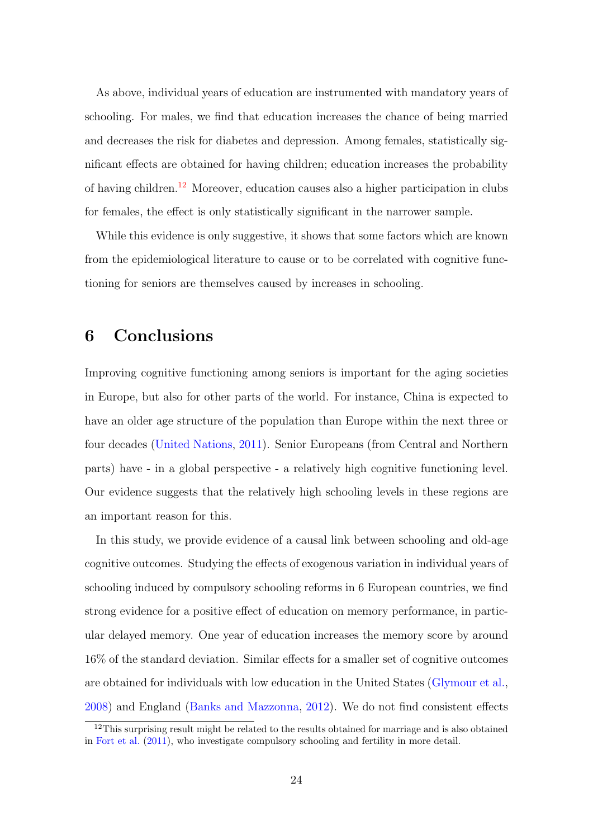As above, individual years of education are instrumented with mandatory years of schooling. For males, we find that education increases the chance of being married and decreases the risk for diabetes and depression. Among females, statistically significant effects are obtained for having children; education increases the probability of having children.[12](#page-25-1) Moreover, education causes also a higher participation in clubs for females, the effect is only statistically significant in the narrower sample.

While this evidence is only suggestive, it shows that some factors which are known from the epidemiological literature to cause or to be correlated with cognitive functioning for seniors are themselves caused by increases in schooling.

## <span id="page-25-0"></span>6 Conclusions

Improving cognitive functioning among seniors is important for the aging societies in Europe, but also for other parts of the world. For instance, China is expected to have an older age structure of the population than Europe within the next three or four decades [\(United Nations,](#page-31-8) [2011\)](#page-31-8). Senior Europeans (from Central and Northern parts) have - in a global perspective - a relatively high cognitive functioning level. Our evidence suggests that the relatively high schooling levels in these regions are an important reason for this.

In this study, we provide evidence of a causal link between schooling and old-age cognitive outcomes. Studying the effects of exogenous variation in individual years of schooling induced by compulsory schooling reforms in 6 European countries, we find strong evidence for a positive effect of education on memory performance, in particular delayed memory. One year of education increases the memory score by around 16% of the standard deviation. Similar effects for a smaller set of cognitive outcomes are obtained for individuals with low education in the United States [\(Glymour et al.,](#page-29-4) [2008\)](#page-29-4) and England [\(Banks and Mazzonna,](#page-27-1) [2012\)](#page-27-1). We do not find consistent effects

<span id="page-25-1"></span><sup>&</sup>lt;sup>12</sup>This surprising result might be related to the results obtained for marriage and is also obtained in [Fort et al.](#page-29-5) [\(2011\)](#page-29-5), who investigate compulsory schooling and fertility in more detail.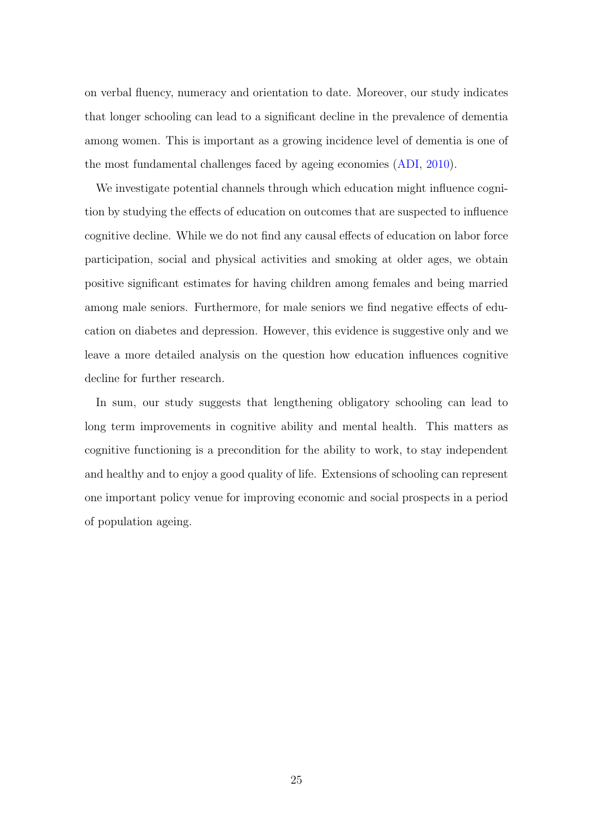on verbal fluency, numeracy and orientation to date. Moreover, our study indicates that longer schooling can lead to a significant decline in the prevalence of dementia among women. This is important as a growing incidence level of dementia is one of the most fundamental challenges faced by ageing economies [\(ADI,](#page-27-7) [2010\)](#page-27-7).

We investigate potential channels through which education might influence cognition by studying the effects of education on outcomes that are suspected to influence cognitive decline. While we do not find any causal effects of education on labor force participation, social and physical activities and smoking at older ages, we obtain positive significant estimates for having children among females and being married among male seniors. Furthermore, for male seniors we find negative effects of education on diabetes and depression. However, this evidence is suggestive only and we leave a more detailed analysis on the question how education influences cognitive decline for further research.

In sum, our study suggests that lengthening obligatory schooling can lead to long term improvements in cognitive ability and mental health. This matters as cognitive functioning is a precondition for the ability to work, to stay independent and healthy and to enjoy a good quality of life. Extensions of schooling can represent one important policy venue for improving economic and social prospects in a period of population ageing.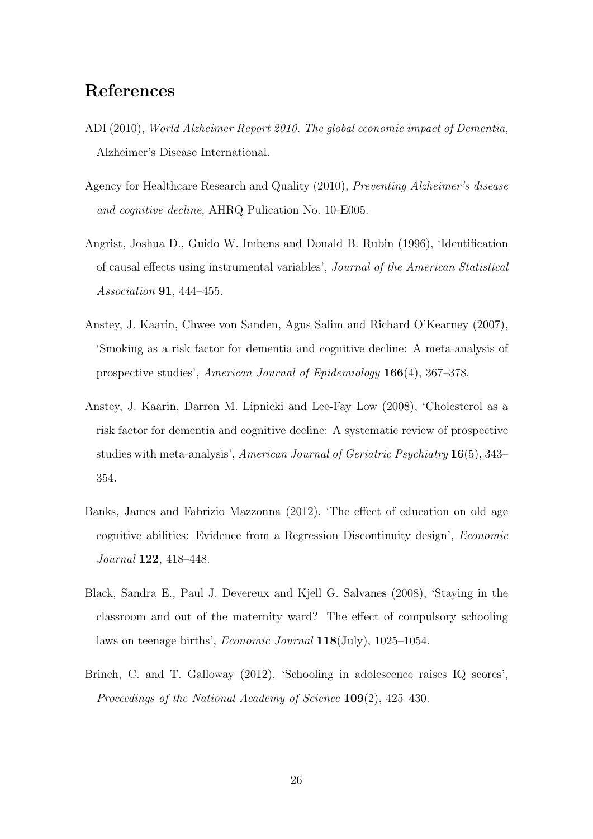## References

- <span id="page-27-7"></span>ADI (2010), World Alzheimer Report 2010. The global economic impact of Dementia, Alzheimer's Disease International.
- <span id="page-27-6"></span>Agency for Healthcare Research and Quality (2010), Preventing Alzheimer's disease and cognitive decline, AHRQ Pulication No. 10-E005.
- <span id="page-27-2"></span>Angrist, Joshua D., Guido W. Imbens and Donald B. Rubin (1996), 'Identification of causal effects using instrumental variables', Journal of the American Statistical Association **91**, 444-455.
- <span id="page-27-4"></span>Anstey, J. Kaarin, Chwee von Sanden, Agus Salim and Richard O'Kearney (2007), 'Smoking as a risk factor for dementia and cognitive decline: A meta-analysis of prospective studies', American Journal of Epidemiology 166(4), 367–378.
- <span id="page-27-5"></span>Anstey, J. Kaarin, Darren M. Lipnicki and Lee-Fay Low (2008), 'Cholesterol as a risk factor for dementia and cognitive decline: A systematic review of prospective studies with meta-analysis', American Journal of Geriatric Psychiatry 16(5), 343– 354.
- <span id="page-27-1"></span>Banks, James and Fabrizio Mazzonna (2012), 'The effect of education on old age cognitive abilities: Evidence from a Regression Discontinuity design', Economic Journal 122, 418–448.
- <span id="page-27-3"></span>Black, Sandra E., Paul J. Devereux and Kjell G. Salvanes (2008), 'Staying in the classroom and out of the maternity ward? The effect of compulsory schooling laws on teenage births', Economic Journal 118(July), 1025–1054.
- <span id="page-27-0"></span>Brinch, C. and T. Galloway (2012), 'Schooling in adolescence raises IQ scores', Proceedings of the National Academy of Science 109(2), 425–430.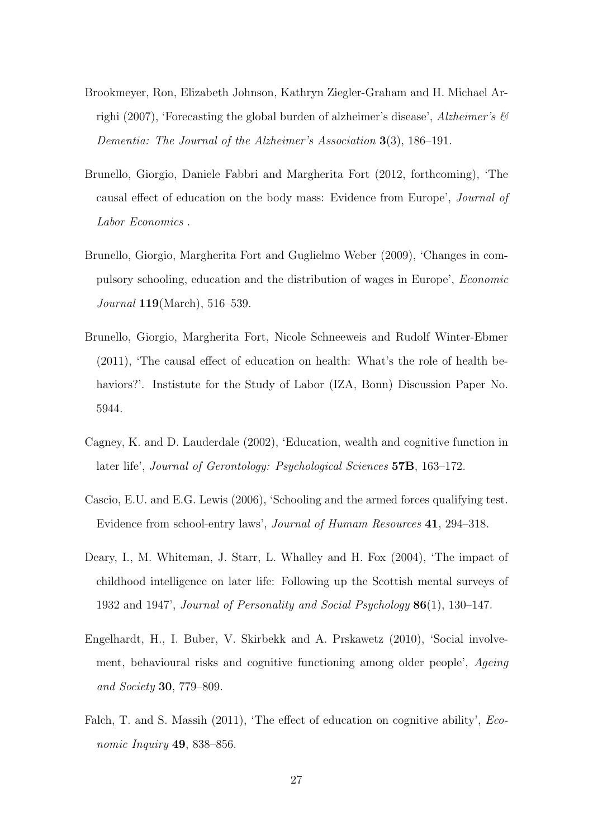- <span id="page-28-1"></span>Brookmeyer, Ron, Elizabeth Johnson, Kathryn Ziegler-Graham and H. Michael Arrighi (2007), 'Forecasting the global burden of alzheimer's disease', Alzheimer's  $\mathcal{B}$ Dementia: The Journal of the Alzheimer's Association 3(3), 186–191.
- <span id="page-28-8"></span>Brunello, Giorgio, Daniele Fabbri and Margherita Fort (2012, forthcoming), 'The causal effect of education on the body mass: Evidence from Europe', Journal of Labor Economics .
- <span id="page-28-6"></span>Brunello, Giorgio, Margherita Fort and Guglielmo Weber (2009), 'Changes in compulsory schooling, education and the distribution of wages in Europe', Economic Journal 119(March), 516–539.
- <span id="page-28-7"></span>Brunello, Giorgio, Margherita Fort, Nicole Schneeweis and Rudolf Winter-Ebmer (2011), 'The causal effect of education on health: What's the role of health behaviors?'. Instistute for the Study of Labor (IZA, Bonn) Discussion Paper No. 5944.
- <span id="page-28-3"></span>Cagney, K. and D. Lauderdale (2002), 'Education, wealth and cognitive function in later life', Journal of Gerontology: Psychological Sciences 57B, 163–172.
- <span id="page-28-4"></span>Cascio, E.U. and E.G. Lewis (2006), 'Schooling and the armed forces qualifying test. Evidence from school-entry laws', Journal of Humam Resources 41, 294–318.
- <span id="page-28-2"></span>Deary, I., M. Whiteman, J. Starr, L. Whalley and H. Fox (2004), 'The impact of childhood intelligence on later life: Following up the Scottish mental surveys of 1932 and 1947', Journal of Personality and Social Psychology 86(1), 130–147.
- <span id="page-28-0"></span>Engelhardt, H., I. Buber, V. Skirbekk and A. Prskawetz (2010), 'Social involvement, behavioural risks and cognitive functioning among older people', Ageing and Society 30, 779–809.
- <span id="page-28-5"></span>Falch, T. and S. Massih (2011), 'The effect of education on cognitive ability', *Eco*nomic Inquiry 49, 838–856.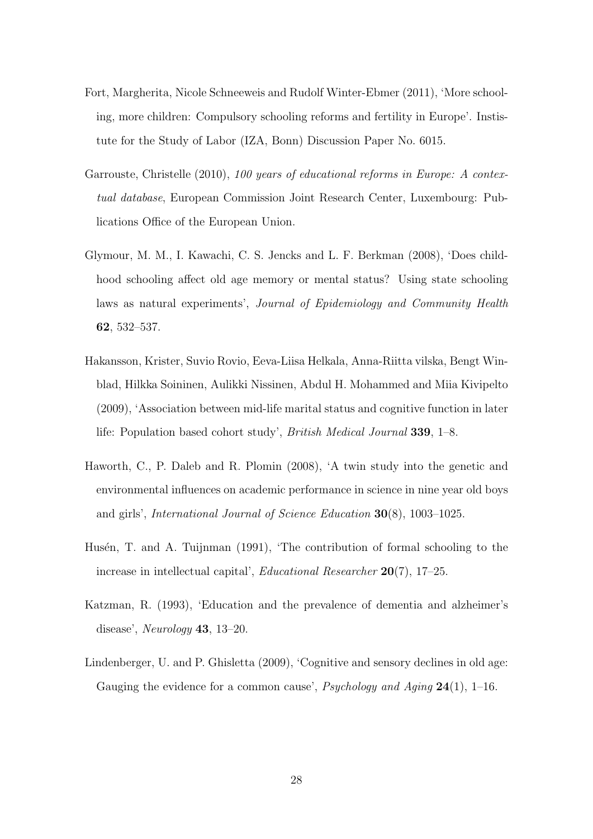- <span id="page-29-5"></span>Fort, Margherita, Nicole Schneeweis and Rudolf Winter-Ebmer (2011), 'More schooling, more children: Compulsory schooling reforms and fertility in Europe'. Instistute for the Study of Labor (IZA, Bonn) Discussion Paper No. 6015.
- <span id="page-29-7"></span>Garrouste, Christelle (2010), 100 years of educational reforms in Europe: A contextual database, European Commission Joint Research Center, Luxembourg: Publications Office of the European Union.
- <span id="page-29-4"></span>Glymour, M. M., I. Kawachi, C. S. Jencks and L. F. Berkman (2008), 'Does childhood schooling affect old age memory or mental status? Using state schooling laws as natural experiments', Journal of Epidemiology and Community Health 62, 532–537.
- <span id="page-29-6"></span>Hakansson, Krister, Suvio Rovio, Eeva-Liisa Helkala, Anna-Riitta vilska, Bengt Winblad, Hilkka Soininen, Aulikki Nissinen, Abdul H. Mohammed and Miia Kivipelto (2009), 'Association between mid-life marital status and cognitive function in later life: Population based cohort study', British Medical Journal 339, 1–8.
- <span id="page-29-2"></span>Haworth, C., P. Daleb and R. Plomin (2008), 'A twin study into the genetic and environmental influences on academic performance in science in nine year old boys and girls', International Journal of Science Education 30(8), 1003–1025.
- <span id="page-29-1"></span>Husén, T. and A. Tuijnman (1991), 'The contribution of formal schooling to the increase in intellectual capital', Educational Researcher 20(7), 17–25.
- <span id="page-29-3"></span>Katzman, R. (1993), 'Education and the prevalence of dementia and alzheimer's disease', Neurology 43, 13–20.
- <span id="page-29-0"></span>Lindenberger, U. and P. Ghisletta (2009), 'Cognitive and sensory declines in old age: Gauging the evidence for a common cause', *Psychology and Aging*  $24(1)$ , 1–16.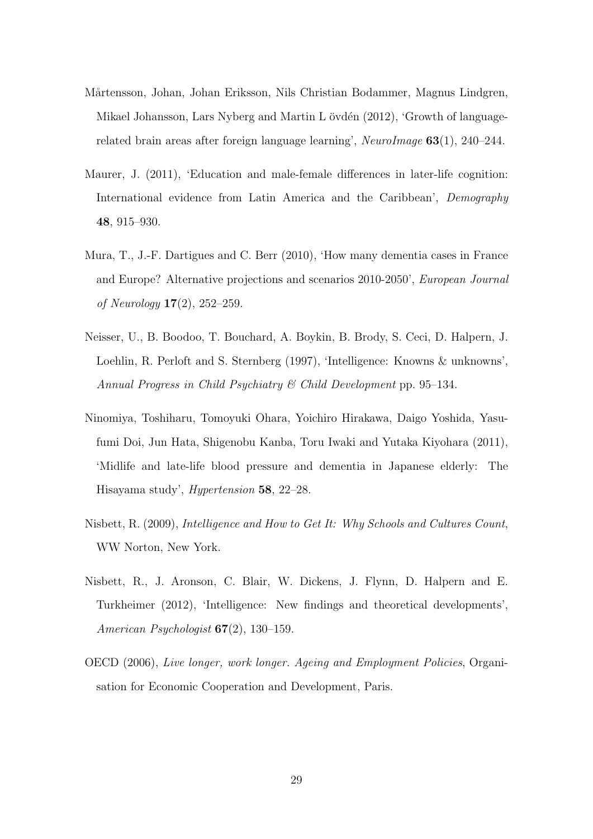- <span id="page-30-6"></span>Mårtensson, Johan, Johan Eriksson, Nils Christian Bodammer, Magnus Lindgren, Mikael Johansson, Lars Nyberg and Martin L övdén  $(2012)$ , 'Growth of languagerelated brain areas after foreign language learning', NeuroImage 63(1), 240–244.
- <span id="page-30-1"></span>Maurer, J. (2011), 'Education and male-female differences in later-life cognition: International evidence from Latin America and the Caribbean', Demography 48, 915–930.
- <span id="page-30-2"></span>Mura, T., J.-F. Dartigues and C. Berr (2010), 'How many dementia cases in France and Europe? Alternative projections and scenarios 2010-2050', European Journal of Neurology 17(2), 252–259.
- <span id="page-30-4"></span>Neisser, U., B. Boodoo, T. Bouchard, A. Boykin, B. Brody, S. Ceci, D. Halpern, J. Loehlin, R. Perloft and S. Sternberg (1997), 'Intelligence: Knowns & unknowns', Annual Progress in Child Psychiatry & Child Development pp. 95–134.
- <span id="page-30-7"></span>Ninomiya, Toshiharu, Tomoyuki Ohara, Yoichiro Hirakawa, Daigo Yoshida, Yasufumi Doi, Jun Hata, Shigenobu Kanba, Toru Iwaki and Yutaka Kiyohara (2011), 'Midlife and late-life blood pressure and dementia in Japanese elderly: The Hisayama study', Hypertension 58, 22–28.
- <span id="page-30-5"></span>Nisbett, R. (2009), Intelligence and How to Get It: Why Schools and Cultures Count, WW Norton, New York.
- <span id="page-30-3"></span>Nisbett, R., J. Aronson, C. Blair, W. Dickens, J. Flynn, D. Halpern and E. Turkheimer (2012), 'Intelligence: New findings and theoretical developments', American Psychologist  $67(2)$ , 130–159.
- <span id="page-30-0"></span>OECD (2006), Live longer, work longer. Ageing and Employment Policies, Organisation for Economic Cooperation and Development, Paris.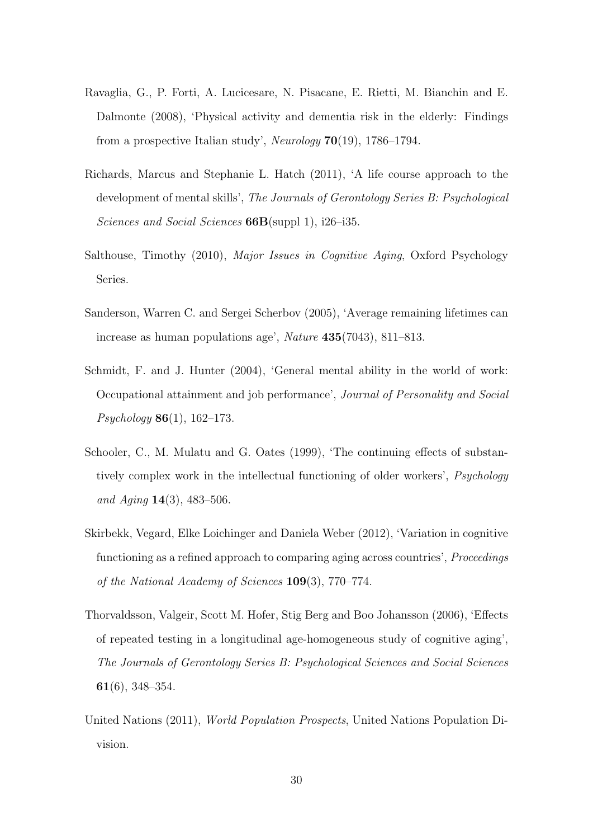- <span id="page-31-7"></span>Ravaglia, G., P. Forti, A. Lucicesare, N. Pisacane, E. Rietti, M. Bianchin and E. Dalmonte (2008), 'Physical activity and dementia risk in the elderly: Findings from a prospective Italian study', Neurology  $70(19)$ , 1786–1794.
- <span id="page-31-4"></span>Richards, Marcus and Stephanie L. Hatch (2011), 'A life course approach to the development of mental skills', The Journals of Gerontology Series B: Psychological Sciences and Social Sciences  $66B(\text{supp1 1}), i26-i35.$
- <span id="page-31-3"></span>Salthouse, Timothy (2010), Major Issues in Cognitive Aging, Oxford Psychology Series.
- <span id="page-31-0"></span>Sanderson, Warren C. and Sergei Scherbov (2005), 'Average remaining lifetimes can increase as human populations age', Nature 435(7043), 811–813.
- <span id="page-31-2"></span>Schmidt, F. and J. Hunter (2004), 'General mental ability in the world of work: Occupational attainment and job performance', Journal of Personality and Social  $Psychology 86(1), 162–173.$
- <span id="page-31-5"></span>Schooler, C., M. Mulatu and G. Oates (1999), 'The continuing effects of substantively complex work in the intellectual functioning of older workers', Psychology and Aging  $14(3)$ ,  $483-506$ .
- <span id="page-31-1"></span>Skirbekk, Vegard, Elke Loichinger and Daniela Weber (2012), 'Variation in cognitive functioning as a refined approach to comparing aging across countries', *Proceedings* of the National Academy of Sciences 109(3), 770–774.
- <span id="page-31-6"></span>Thorvaldsson, Valgeir, Scott M. Hofer, Stig Berg and Boo Johansson (2006), 'Effects of repeated testing in a longitudinal age-homogeneous study of cognitive aging', The Journals of Gerontology Series B: Psychological Sciences and Social Sciences 61(6), 348–354.
- <span id="page-31-8"></span>United Nations (2011), World Population Prospects, United Nations Population Division.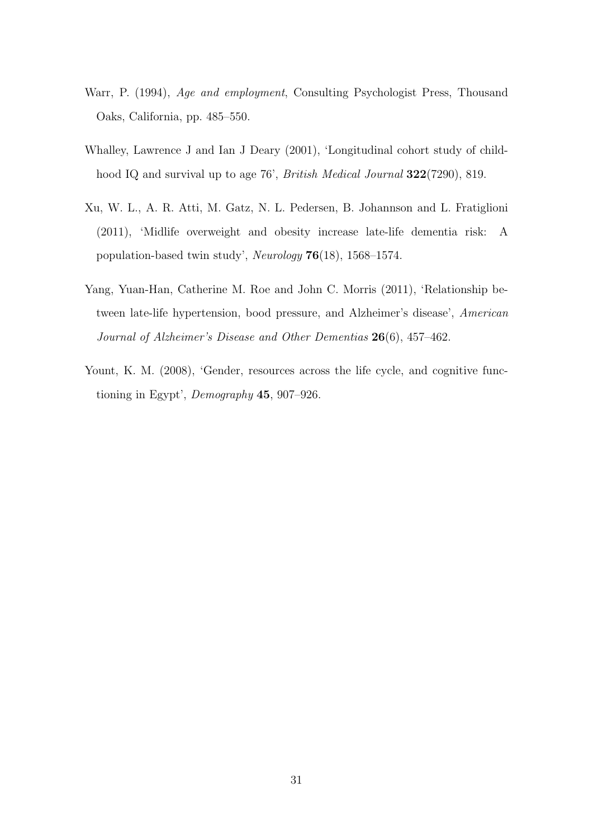- <span id="page-32-0"></span>Warr, P. (1994), Age and employment, Consulting Psychologist Press, Thousand Oaks, California, pp. 485–550.
- <span id="page-32-2"></span>Whalley, Lawrence J and Ian J Deary (2001), 'Longitudinal cohort study of childhood IQ and survival up to age 76', British Medical Journal 322(7290), 819.
- <span id="page-32-3"></span>Xu, W. L., A. R. Atti, M. Gatz, N. L. Pedersen, B. Johannson and L. Fratiglioni (2011), 'Midlife overweight and obesity increase late-life dementia risk: A population-based twin study', Neurology 76(18), 1568–1574.
- <span id="page-32-4"></span>Yang, Yuan-Han, Catherine M. Roe and John C. Morris (2011), 'Relationship between late-life hypertension, bood pressure, and Alzheimer's disease', American Journal of Alzheimer's Disease and Other Dementias 26(6), 457-462.
- <span id="page-32-1"></span>Yount, K. M. (2008), 'Gender, resources across the life cycle, and cognitive functioning in Egypt', Demography 45, 907–926.